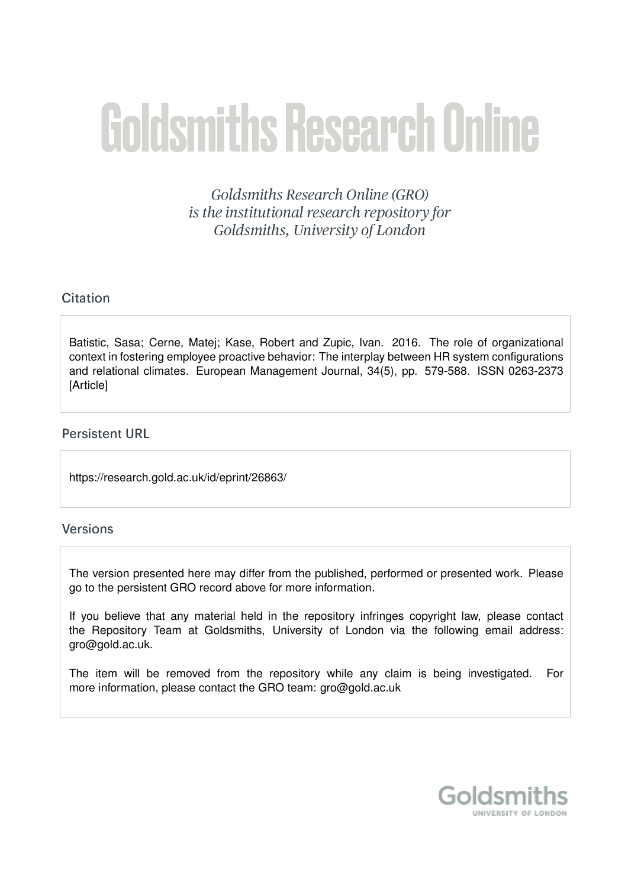# **Goldsmiths Research Online**

Goldsmiths Research Online (GRO) is the institutional research repository for Goldsmiths, University of London

# Citation

Batistic, Sasa; Cerne, Matei; Kase, Robert and Zupic, Ivan. 2016. The role of organizational context in fostering employee proactive behavior: The interplay between HR system configurations and relational climates. European Management Journal, 34(5), pp. 579-588. ISSN 0263-2373 [Article]

# **Persistent URL**

https://research.gold.ac.uk/id/eprint/26863/

# **Versions**

The version presented here may differ from the published, performed or presented work. Please go to the persistent GRO record above for more information.

If you believe that any material held in the repository infringes copyright law, please contact the Repository Team at Goldsmiths, University of London via the following email address: gro@gold.ac.uk.

The item will be removed from the repository while any claim is being investigated. For more information, please contact the GRO team: gro@gold.ac.uk

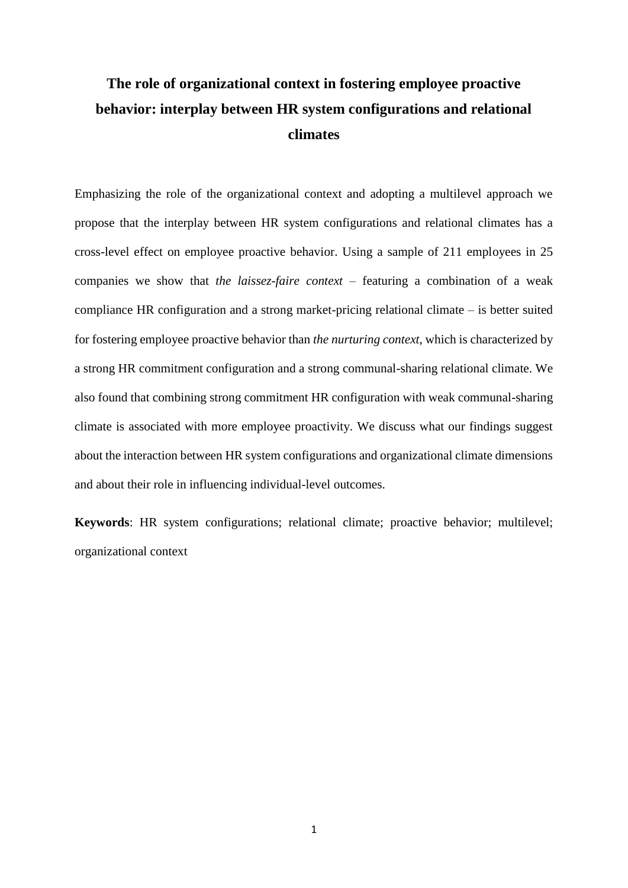# **The role of organizational context in fostering employee proactive behavior: interplay between HR system configurations and relational climates**

Emphasizing the role of the organizational context and adopting a multilevel approach we propose that the interplay between HR system configurations and relational climates has a cross-level effect on employee proactive behavior. Using a sample of 211 employees in 25 companies we show that *the laissez-faire context* – featuring a combination of a weak compliance HR configuration and a strong market-pricing relational climate – is better suited for fostering employee proactive behavior than *the nurturing context*, which is characterized by a strong HR commitment configuration and a strong communal-sharing relational climate. We also found that combining strong commitment HR configuration with weak communal-sharing climate is associated with more employee proactivity. We discuss what our findings suggest about the interaction between HR system configurations and organizational climate dimensions and about their role in influencing individual-level outcomes.

**Keywords**: HR system configurations; relational climate; proactive behavior; multilevel; organizational context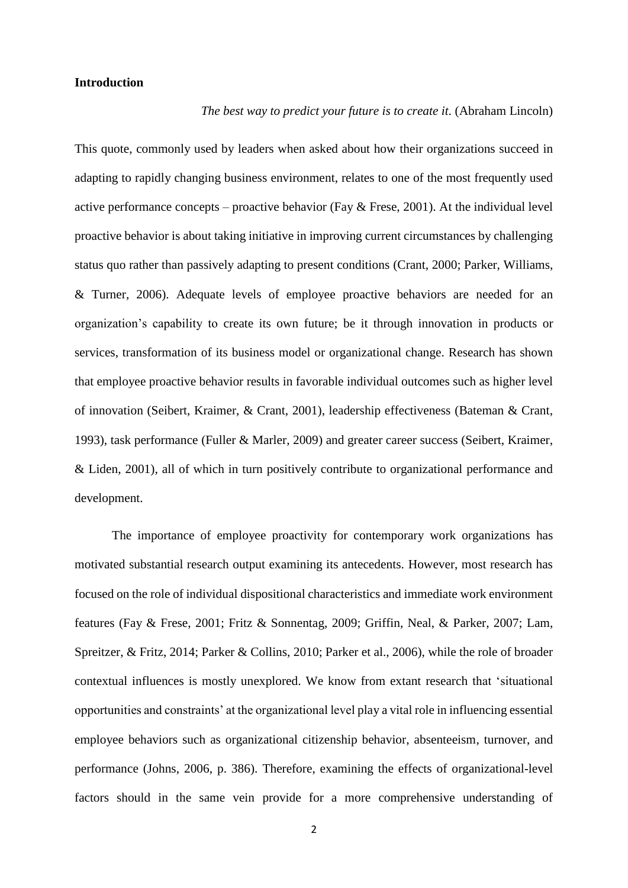## **Introduction**

#### *The best way to predict your future is to create it.* (Abraham Lincoln)

This quote, commonly used by leaders when asked about how their organizations succeed in adapting to rapidly changing business environment, relates to one of the most frequently used active performance concepts – proactive behavior (Fay  $&$  Frese, 2001). At the individual level proactive behavior is about taking initiative in improving current circumstances by challenging status quo rather than passively adapting to present conditions [\(Crant, 2000;](#page-26-0) [Parker, Williams,](#page-30-0)  [& Turner, 2006\)](#page-30-0). Adequate levels of employee proactive behaviors are needed for an organization's capability to create its own future; be it through innovation in products or services, transformation of its business model or organizational change. Research has shown that employee proactive behavior results in favorable individual outcomes such as higher level of innovation [\(Seibert, Kraimer, & Crant, 2001\)](#page-31-0), leadership effectiveness [\(Bateman & Crant,](#page-26-1)  [1993\)](#page-26-1), task performance [\(Fuller & Marler, 2009\)](#page-27-1) and greater career success [\(Seibert, Kraimer,](#page-31-1)  [& Liden, 2001\)](#page-31-1), all of which in turn positively contribute to organizational performance and development.

The importance of employee proactivity for contemporary work organizations has motivated substantial research output examining its antecedents. However, most research has focused on the role of individual dispositional characteristics and immediate work environment features [\(Fay & Frese, 2001;](#page-27-0) [Fritz & Sonnentag, 2009;](#page-27-2) [Griffin, Neal, & Parker, 2007;](#page-28-0) [Lam,](#page-29-0)  [Spreitzer, & Fritz, 2014;](#page-29-0) [Parker & Collins, 2010;](#page-30-1) [Parker et al., 2006\)](#page-30-0), while the role of broader contextual influences is mostly unexplored. We know from extant research that 'situational opportunities and constraints' at the organizational level play a vital role in influencing essential employee behaviors such as organizational citizenship behavior, absenteeism, turnover, and performance [\(Johns, 2006, p. 386\)](#page-28-1). Therefore, examining the effects of organizational-level factors should in the same vein provide for a more comprehensive understanding of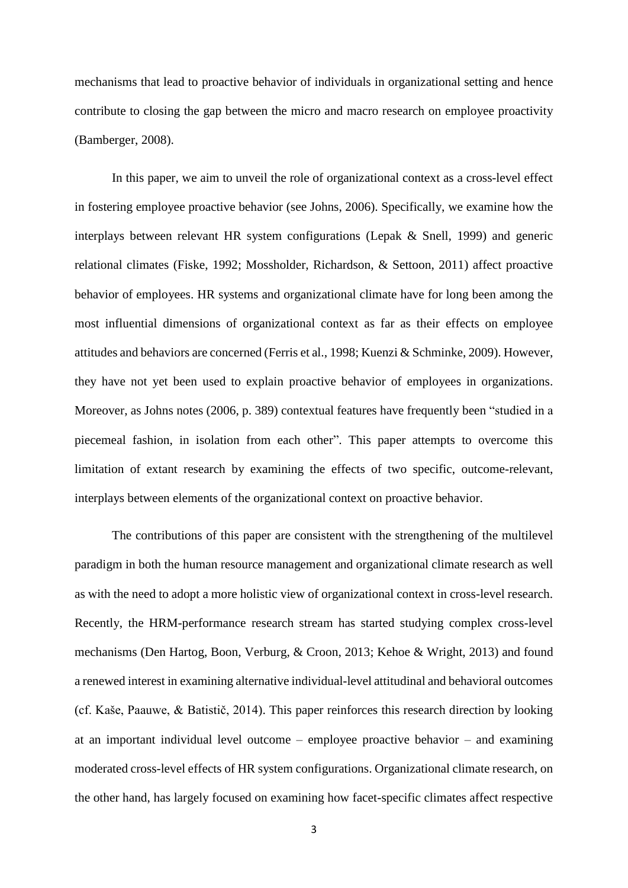mechanisms that lead to proactive behavior of individuals in organizational setting and hence contribute to closing the gap between the micro and macro research on employee proactivity [\(Bamberger, 2008\)](#page-26-2).

In this paper, we aim to unveil the role of organizational context as a cross-level effect in fostering employee proactive behavior [\(see Johns, 2006\)](#page-28-1). Specifically, we examine how the interplays between relevant HR system configurations [\(Lepak & Snell, 1999\)](#page-29-1) and generic relational climates [\(Fiske, 1992;](#page-27-3) [Mossholder, Richardson, & Settoon, 2011\)](#page-30-2) affect proactive behavior of employees. HR systems and organizational climate have for long been among the most influential dimensions of organizational context as far as their effects on employee attitudes and behaviors are concerned [\(Ferris et al., 1998;](#page-27-4) [Kuenzi & Schminke, 2009\)](#page-29-2). However, they have not yet been used to explain proactive behavior of employees in organizations. Moreover, as Johns notes [\(2006, p. 389\)](#page-28-1) contextual features have frequently been "studied in a piecemeal fashion, in isolation from each other". This paper attempts to overcome this limitation of extant research by examining the effects of two specific, outcome-relevant, interplays between elements of the organizational context on proactive behavior.

The contributions of this paper are consistent with the strengthening of the multilevel paradigm in both the human resource management and organizational climate research as well as with the need to adopt a more holistic view of organizational context in cross-level research. Recently, the HRM-performance research stream has started studying complex cross-level mechanisms [\(Den Hartog, Boon, Verburg, & Croon, 2013;](#page-26-3) [Kehoe & Wright, 2013\)](#page-28-2) and found a renewed interest in examining alternative individual-level attitudinal and behavioral outcomes [\(cf. Kaše, Paauwe, & Batistič, 2014\)](#page-28-3). This paper reinforces this research direction by looking at an important individual level outcome – employee proactive behavior – and examining moderated cross-level effects of HR system configurations. Organizational climate research, on the other hand, has largely focused on examining how facet-specific climates affect respective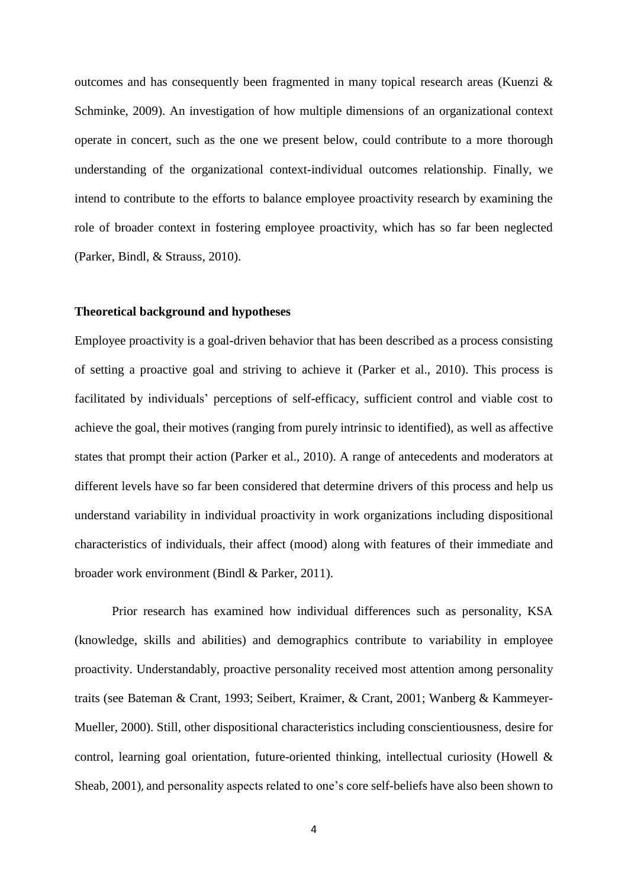outcomes and has consequently been fragmented in many topical research areas [\(Kuenzi &](#page-29-2)  [Schminke, 2009\)](#page-29-2). An investigation of how multiple dimensions of an organizational context operate in concert, such as the one we present below, could contribute to a more thorough understanding of the organizational context-individual outcomes relationship. Finally, we intend to contribute to the efforts to balance employee proactivity research by examining the role of broader context in fostering employee proactivity, which has so far been neglected [\(Parker, Bindl, & Strauss, 2010\)](#page-30-3).

#### **Theoretical background and hypotheses**

Employee proactivity is a goal-driven behavior that has been described as a process consisting of setting a proactive goal and striving to achieve it [\(Parker et al., 2010\)](#page-30-3). This process is facilitated by individuals' perceptions of self-efficacy, sufficient control and viable cost to achieve the goal, their motives (ranging from purely intrinsic to identified), as well as affective states that prompt their action [\(Parker et al., 2010\)](#page-30-3). A range of antecedents and moderators at different levels have so far been considered that determine drivers of this process and help us understand variability in individual proactivity in work organizations including dispositional characteristics of individuals, their affect (mood) along with features of their immediate and broader work environment [\(Bindl & Parker, 2011\)](#page-26-4).

Prior research has examined how individual differences such as personality, KSA (knowledge, skills and abilities) and demographics contribute to variability in employee proactivity. Understandably, proactive personality received most attention among personality traits (see [Bateman & Crant, 1993;](#page-26-1) [Seibert, Kraimer, & Crant, 2001;](#page-31-0) [Wanberg & Kammeyer-](#page-31-2)[Mueller, 2000\)](#page-31-2). Still, other dispositional characteristics including conscientiousness, desire for control, learning goal orientation, future-oriented thinking, intellectual curiosity (Howell  $\&$ [Sheab, 2001\)](#page-28-4), and personality aspects related to one's core self-beliefs have also been shown to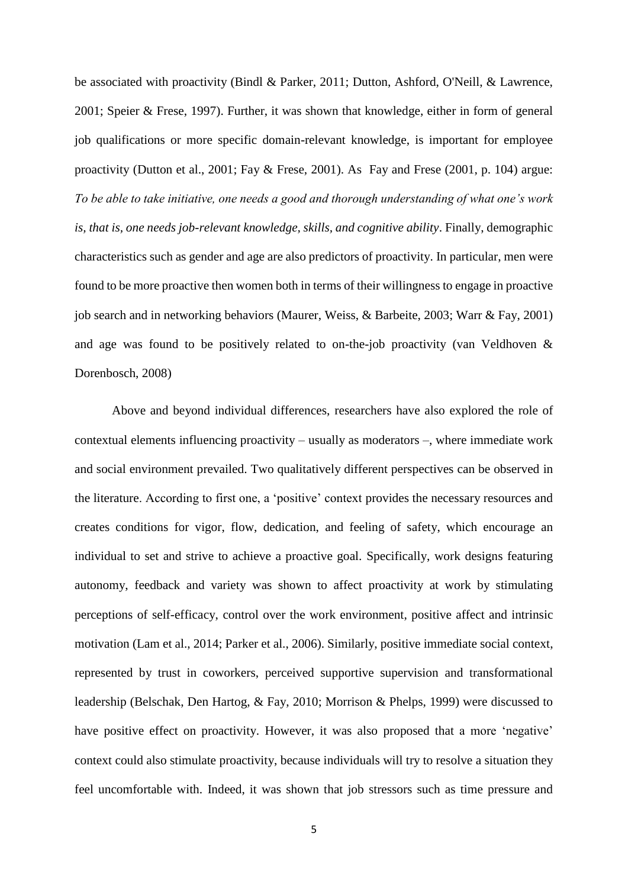be associated with proactivity [\(Bindl & Parker, 2011;](#page-26-4) [Dutton, Ashford, O'Neill, & Lawrence,](#page-27-5)  [2001;](#page-27-5) [Speier & Frese, 1997\)](#page-31-3). Further, it was shown that knowledge, either in form of general job qualifications or more specific domain-relevant knowledge, is important for employee proactivity [\(Dutton et al., 2001;](#page-27-5) [Fay & Frese, 2001\)](#page-27-0). As Fay and Frese [\(2001, p. 104\)](#page-27-0) argue: *To be able to take initiative, one needs a good and thorough understanding of what one's work is, that is, one needs job-relevant knowledge, skills, and cognitive ability*. Finally, demographic characteristics such as gender and age are also predictors of proactivity. In particular, men were found to be more proactive then women both in terms of their willingness to engage in proactive job search and in networking behaviors [\(Maurer, Weiss, & Barbeite, 2003;](#page-29-3) [Warr & Fay, 2001\)](#page-31-4) and age was found to be positively related to on-the-job proactivity [\(van Veldhoven &](#page-31-5)  [Dorenbosch, 2008\)](#page-31-5)

Above and beyond individual differences, researchers have also explored the role of contextual elements influencing proactivity – usually as moderators –, where immediate work and social environment prevailed. Two qualitatively different perspectives can be observed in the literature. According to first one, a 'positive' context provides the necessary resources and creates conditions for vigor, flow, dedication, and feeling of safety, which encourage an individual to set and strive to achieve a proactive goal. Specifically, work designs featuring autonomy, feedback and variety was shown to affect proactivity at work by stimulating perceptions of self-efficacy, control over the work environment, positive affect and intrinsic motivation [\(Lam et al., 2014;](#page-29-0) [Parker et al., 2006\)](#page-30-0). Similarly, positive immediate social context, represented by trust in coworkers, perceived supportive supervision and transformational leadership [\(Belschak, Den Hartog, & Fay, 2010;](#page-26-5) [Morrison & Phelps, 1999\)](#page-30-4) were discussed to have positive effect on proactivity. However, it was also proposed that a more 'negative' context could also stimulate proactivity, because individuals will try to resolve a situation they feel uncomfortable with. Indeed, it was shown that job stressors such as time pressure and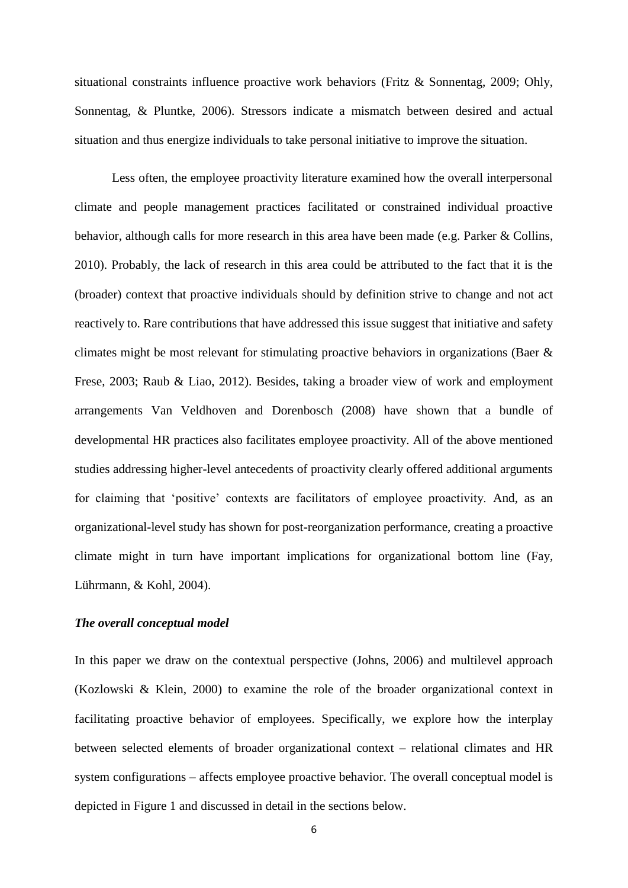situational constraints influence proactive work behaviors [\(Fritz & Sonnentag, 2009;](#page-27-2) [Ohly,](#page-30-5)  [Sonnentag, & Pluntke, 2006\)](#page-30-5). Stressors indicate a mismatch between desired and actual situation and thus energize individuals to take personal initiative to improve the situation.

Less often, the employee proactivity literature examined how the overall interpersonal climate and people management practices facilitated or constrained individual proactive behavior, although calls for more research in this area have been made [\(e.g. Parker & Collins,](#page-30-1)  [2010\)](#page-30-1). Probably, the lack of research in this area could be attributed to the fact that it is the (broader) context that proactive individuals should by definition strive to change and not act reactively to. Rare contributions that have addressed this issue suggest that initiative and safety climates might be most relevant for stimulating proactive behaviors in organizations [\(Baer &](#page-26-6)  [Frese, 2003;](#page-26-6) [Raub & Liao, 2012\)](#page-31-6). Besides, taking a broader view of work and employment arrangements Van Veldhoven and Dorenbosch [\(2008\)](#page-31-5) have shown that a bundle of developmental HR practices also facilitates employee proactivity. All of the above mentioned studies addressing higher-level antecedents of proactivity clearly offered additional arguments for claiming that 'positive' contexts are facilitators of employee proactivity. And, as an organizational-level study has shown for post-reorganization performance, creating a proactive climate might in turn have important implications for organizational bottom line [\(Fay,](#page-27-6)  [Lührmann, & Kohl, 2004\)](#page-27-6).

# *The overall conceptual model*

In this paper we draw on the contextual perspective [\(Johns, 2006\)](#page-28-1) and multilevel approach [\(Kozlowski & Klein, 2000\)](#page-28-5) to examine the role of the broader organizational context in facilitating proactive behavior of employees. Specifically, we explore how the interplay between selected elements of broader organizational context – relational climates and HR system configurations – affects employee proactive behavior. The overall conceptual model is depicted in Figure 1 and discussed in detail in the sections below.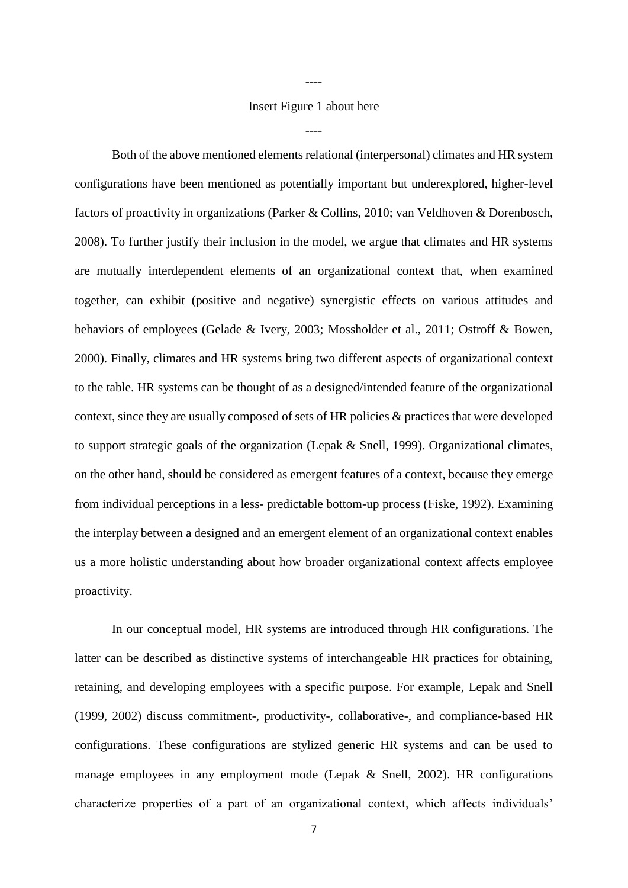Insert Figure 1 about here

----

----

Both of the above mentioned elements relational (interpersonal) climates and HR system configurations have been mentioned as potentially important but underexplored, higher-level factors of proactivity in organizations (Parker [& Collins, 2010;](#page-30-1) [van Veldhoven & Dorenbosch,](#page-31-5)  [2008\)](#page-31-5). To further justify their inclusion in the model, we argue that climates and HR systems are mutually interdependent elements of an organizational context that, when examined together, can exhibit (positive and negative) synergistic effects on various attitudes and behaviors of employees [\(Gelade & Ivery, 2003;](#page-27-7) [Mossholder et al., 2011;](#page-30-2) [Ostroff & Bowen,](#page-30-6)  [2000\)](#page-30-6). Finally, climates and HR systems bring two different aspects of organizational context to the table. HR systems can be thought of as a designed/intended feature of the organizational context, since they are usually composed of sets of HR policies & practices that were developed to support strategic goals of the organization [\(Lepak & Snell, 1999\)](#page-29-1). Organizational climates, on the other hand, should be considered as emergent features of a context, because they emerge from individual perceptions in a less- predictable bottom-up process [\(Fiske, 1992\)](#page-27-3). Examining the interplay between a designed and an emergent element of an organizational context enables us a more holistic understanding about how broader organizational context affects employee proactivity.

In our conceptual model, HR systems are introduced through HR configurations. The latter can be described as distinctive systems of interchangeable HR practices for obtaining, retaining, and developing employees with a specific purpose. For example, Lepak and Snell [\(1999,](#page-29-1) [2002\)](#page-29-4) discuss commitment-, productivity-, collaborative-, and compliance-based HR configurations. These configurations are stylized generic HR systems and can be used to manage employees in any employment mode (Lepak  $&$  Snell, 2002). HR configurations characterize properties of a part of an organizational context, which affects individuals'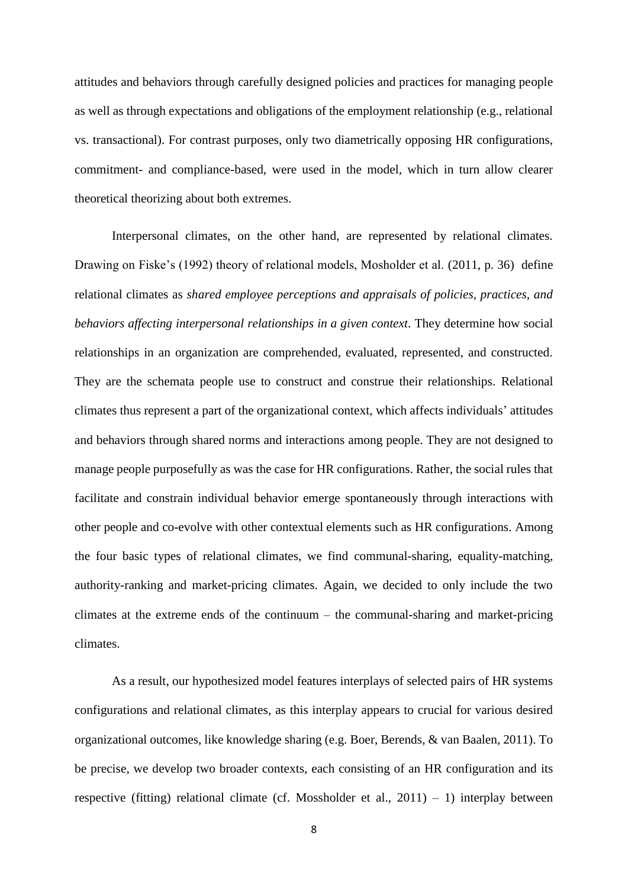attitudes and behaviors through carefully designed policies and practices for managing people as well as through expectations and obligations of the employment relationship (e.g., relational vs. transactional). For contrast purposes, only two diametrically opposing HR configurations, commitment- and compliance-based, were used in the model, which in turn allow clearer theoretical theorizing about both extremes.

Interpersonal climates, on the other hand, are represented by relational climates. Drawing on Fiske's (1992) theory of relational models, Mosholder et al. [\(2011, p. 36\)](#page-30-2) define relational climates as *shared employee perceptions and appraisals of policies, practices, and behaviors affecting interpersonal relationships in a given context*. They determine how social relationships in an organization are comprehended, evaluated, represented, and constructed. They are the schemata people use to construct and construe their relationships. Relational climates thus represent a part of the organizational context, which affects individuals' attitudes and behaviors through shared norms and interactions among people. They are not designed to manage people purposefully as was the case for HR configurations. Rather, the social rules that facilitate and constrain individual behavior emerge spontaneously through interactions with other people and co-evolve with other contextual elements such as HR configurations. Among the four basic types of relational climates, we find communal-sharing, equality-matching, authority-ranking and market-pricing climates. Again, we decided to only include the two climates at the extreme ends of the continuum – the communal-sharing and market-pricing climates.

As a result, our hypothesized model features interplays of selected pairs of HR systems configurations and relational climates, as this interplay appears to crucial for various desired organizational outcomes, like knowledge sharing [\(e.g. Boer, Berends, & van Baalen, 2011\)](#page-26-7). To be precise, we develop two broader contexts, each consisting of an HR configuration and its respective (fitting) relational climate (cf. Mossholder et al.,  $2011$ ) – 1) interplay between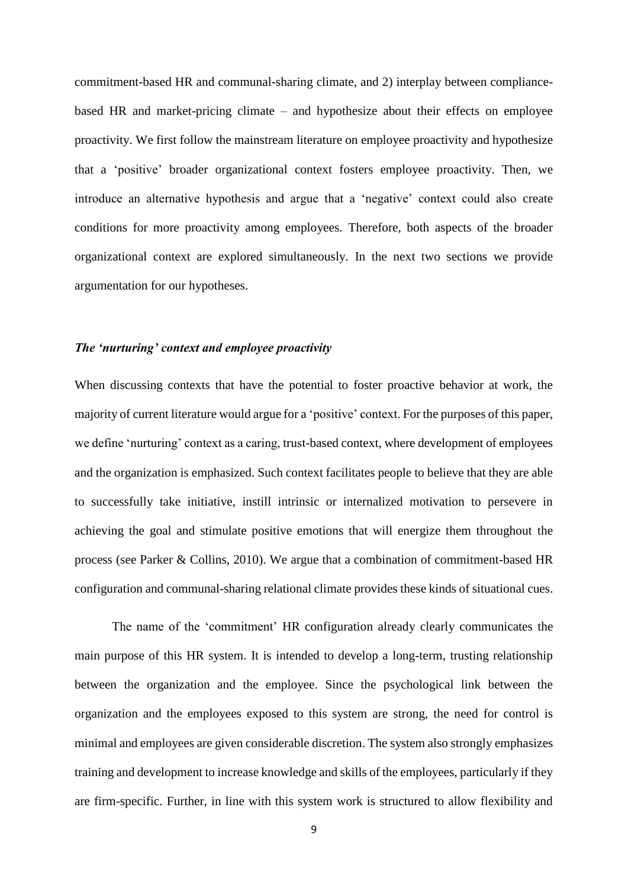commitment-based HR and communal-sharing climate, and 2) interplay between compliancebased HR and market-pricing climate – and hypothesize about their effects on employee proactivity. We first follow the mainstream literature on employee proactivity and hypothesize that a 'positive' broader organizational context fosters employee proactivity. Then, we introduce an alternative hypothesis and argue that a 'negative' context could also create conditions for more proactivity among employees. Therefore, both aspects of the broader organizational context are explored simultaneously. In the next two sections we provide argumentation for our hypotheses.

#### *The 'nurturing' context and employee proactivity*

When discussing contexts that have the potential to foster proactive behavior at work, the majority of current literature would argue for a 'positive' context. For the purposes of this paper, we define 'nurturing' context as a caring, trust-based context, where development of employees and the organization is emphasized. Such context facilitates people to believe that they are able to successfully take initiative, instill intrinsic or internalized motivation to persevere in achieving the goal and stimulate positive emotions that will energize them throughout the process [\(see Parker & Collins, 2010\)](#page-30-1). We argue that a combination of commitment-based HR configuration and communal-sharing relational climate provides these kinds of situational cues.

The name of the 'commitment' HR configuration already clearly communicates the main purpose of this HR system. It is intended to develop a long-term, trusting relationship between the organization and the employee. Since the psychological link between the organization and the employees exposed to this system are strong, the need for control is minimal and employees are given considerable discretion. The system also strongly emphasizes training and development to increase knowledge and skills of the employees, particularly if they are firm-specific. Further, in line with this system work is structured to allow flexibility and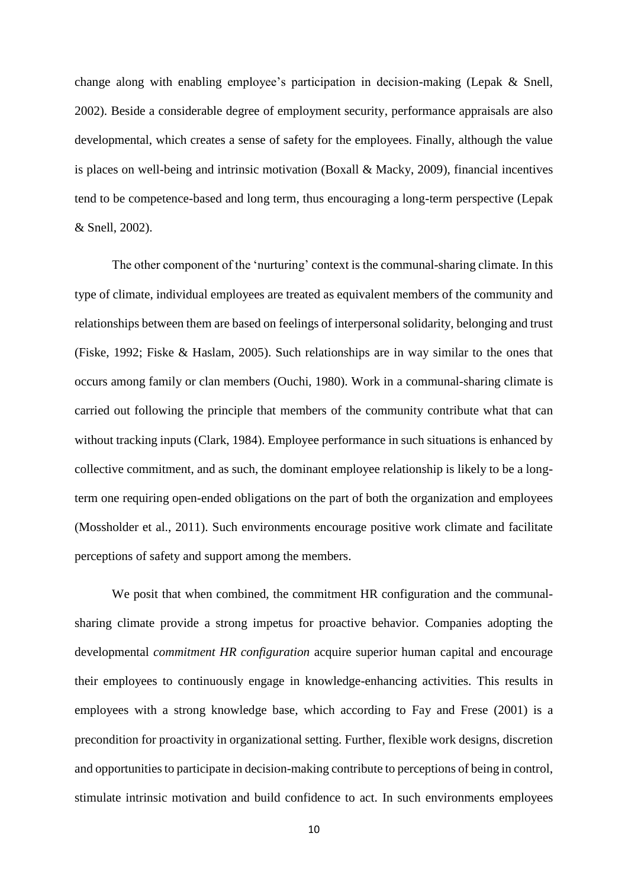change along with enabling employee's participation in decision-making (Lepak & Snell, 2002). Beside a considerable degree of employment security, performance appraisals are also developmental, which creates a sense of safety for the employees. Finally, although the value is places on well-being and intrinsic motivation [\(Boxall & Macky, 2009\)](#page-26-8), financial incentives tend to be competence-based and long term, thus encouraging a long-term perspective (Lepak & Snell, 2002).

The other component of the 'nurturing' context is the communal-sharing climate. In this type of climate, individual employees are treated as equivalent members of the community and relationships between them are based on feelings of interpersonal solidarity, belonging and trust [\(Fiske, 1992;](#page-27-3) [Fiske & Haslam, 2005\)](#page-27-8). Such relationships are in way similar to the ones that occurs among family or clan members [\(Ouchi, 1980\)](#page-30-7). Work in a communal-sharing climate is carried out following the principle that members of the community contribute what that can without tracking inputs [\(Clark, 1984\)](#page-26-9). Employee performance in such situations is enhanced by collective commitment, and as such, the dominant employee relationship is likely to be a longterm one requiring open-ended obligations on the part of both the organization and employees [\(Mossholder et al., 2011\)](#page-30-2). Such environments encourage positive work climate and facilitate perceptions of safety and support among the members.

We posit that when combined, the commitment HR configuration and the communalsharing climate provide a strong impetus for proactive behavior. Companies adopting the developmental *commitment HR configuration* acquire superior human capital and encourage their employees to continuously engage in knowledge-enhancing activities. This results in employees with a strong knowledge base, which according to Fay and Frese [\(2001\)](#page-27-0) is a precondition for proactivity in organizational setting. Further, flexible work designs, discretion and opportunities to participate in decision-making contribute to perceptions of being in control, stimulate intrinsic motivation and build confidence to act. In such environments employees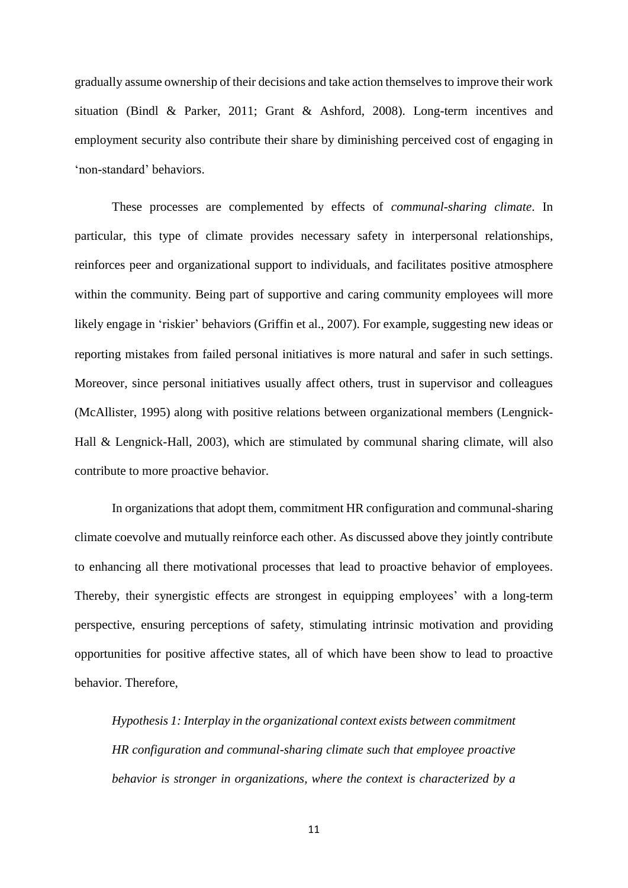gradually assume ownership of their decisions and take action themselves to improve their work situation [\(Bindl & Parker, 2011;](#page-26-4) [Grant & Ashford, 2008\)](#page-28-6). Long-term incentives and employment security also contribute their share by diminishing perceived cost of engaging in 'non-standard' behaviors.

These processes are complemented by effects of *communal-sharing climate*. In particular, this type of climate provides necessary safety in interpersonal relationships, reinforces peer and organizational support to individuals, and facilitates positive atmosphere within the community. Being part of supportive and caring community employees will more likely engage in 'riskier' behaviors [\(Griffin et al., 2007\)](#page-28-0). For example, suggesting new ideas or reporting mistakes from failed personal initiatives is more natural and safer in such settings. Moreover, since personal initiatives usually affect others, trust in supervisor and colleagues [\(McAllister, 1995\)](#page-29-5) along with positive relations between organizational members [\(Lengnick-](#page-29-6)[Hall & Lengnick-Hall, 2003\)](#page-29-6), which are stimulated by communal sharing climate, will also contribute to more proactive behavior.

In organizations that adopt them, commitment HR configuration and communal-sharing climate coevolve and mutually reinforce each other. As discussed above they jointly contribute to enhancing all there motivational processes that lead to proactive behavior of employees. Thereby, their synergistic effects are strongest in equipping employees' with a long-term perspective, ensuring perceptions of safety, stimulating intrinsic motivation and providing opportunities for positive affective states, all of which have been show to lead to proactive behavior. Therefore,

*Hypothesis 1: Interplay in the organizational context exists between commitment HR configuration and communal-sharing climate such that employee proactive behavior is stronger in organizations, where the context is characterized by a*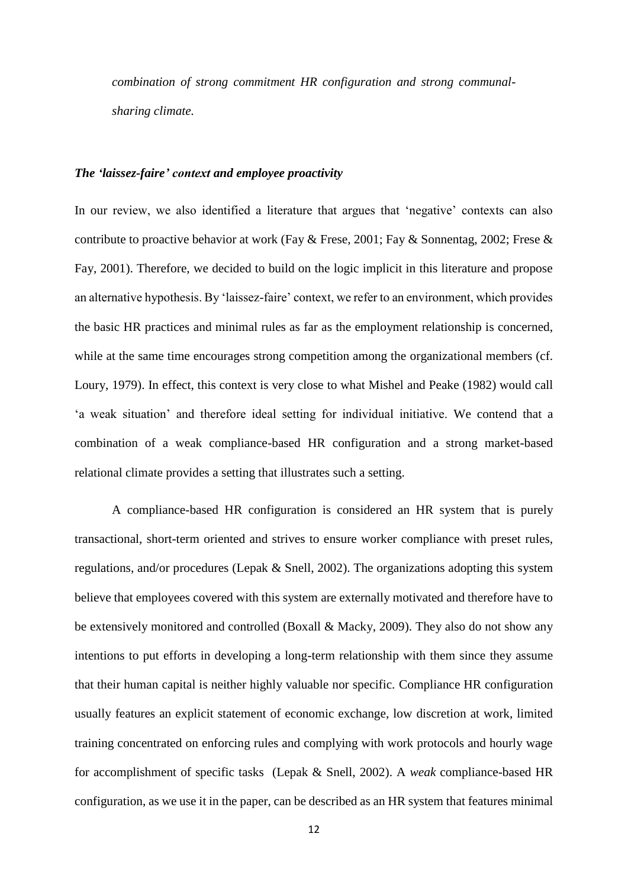*combination of strong commitment HR configuration and strong communalsharing climate.*

#### *The 'laissez-faire' context and employee proactivity*

In our review, we also identified a literature that argues that 'negative' contexts can also contribute to proactive behavior at work [\(Fay & Frese, 2001;](#page-27-0) [Fay & Sonnentag, 2002;](#page-27-9) [Frese &](#page-27-10)  [Fay, 2001\)](#page-27-10). Therefore, we decided to build on the logic implicit in this literature and propose an alternative hypothesis. By 'laissez-faire' context, we refer to an environment, which provides the basic HR practices and minimal rules as far as the employment relationship is concerned, while at the same time encourages strong competition among the organizational members (cf. [Loury, 1979\)](#page-29-7). In effect, this context is very close to what Mishel and Peake [\(1982\)](#page-30-8) would call 'a weak situation' and therefore ideal setting for individual initiative. We contend that a combination of a weak compliance-based HR configuration and a strong market-based relational climate provides a setting that illustrates such a setting.

A compliance-based HR configuration is considered an HR system that is purely transactional, short-term oriented and strives to ensure worker compliance with preset rules, regulations, and/or procedures [\(Lepak & Snell, 2002\)](#page-29-4). The organizations adopting this system believe that employees covered with this system are externally motivated and therefore have to be extensively monitored and controlled [\(Boxall & Macky, 2009\)](#page-26-8). They also do not show any intentions to put efforts in developing a long-term relationship with them since they assume that their human capital is neither highly valuable nor specific. Compliance HR configuration usually features an explicit statement of economic exchange, low discretion at work, limited training concentrated on enforcing rules and complying with work protocols and hourly wage for accomplishment of specific tasks [\(Lepak & Snell, 2002\)](#page-29-4). A *weak* compliance-based HR configuration, as we use it in the paper, can be described as an HR system that features minimal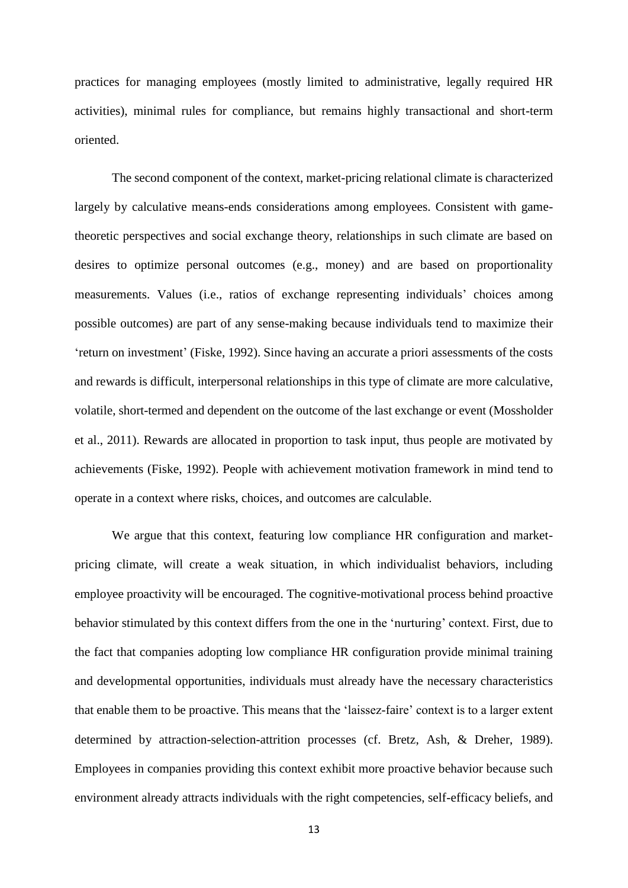practices for managing employees (mostly limited to administrative, legally required HR activities), minimal rules for compliance, but remains highly transactional and short-term oriented.

The second component of the context, market-pricing relational climate is characterized largely by calculative means-ends considerations among employees. Consistent with gametheoretic perspectives and social exchange theory, relationships in such climate are based on desires to optimize personal outcomes (e.g., money) and are based on proportionality measurements. Values (i.e., ratios of exchange representing individuals' choices among possible outcomes) are part of any sense-making because individuals tend to maximize their 'return on investment' [\(Fiske, 1992\)](#page-27-3). Since having an accurate a priori assessments of the costs and rewards is difficult, interpersonal relationships in this type of climate are more calculative, volatile, short-termed and dependent on the outcome of the last exchange or event [\(Mossholder](#page-30-2)  [et al., 2011\)](#page-30-2). Rewards are allocated in proportion to task input, thus people are motivated by achievements [\(Fiske, 1992\)](#page-27-3). People with achievement motivation framework in mind tend to operate in a context where risks, choices, and outcomes are calculable.

We argue that this context, featuring low compliance HR configuration and marketpricing climate, will create a weak situation, in which individualist behaviors, including employee proactivity will be encouraged. The cognitive-motivational process behind proactive behavior stimulated by this context differs from the one in the 'nurturing' context. First, due to the fact that companies adopting low compliance HR configuration provide minimal training and developmental opportunities, individuals must already have the necessary characteristics that enable them to be proactive. This means that the 'laissez-faire' context is to a larger extent determined by attraction-selection-attrition processes [\(cf. Bretz, Ash, & Dreher, 1989\)](#page-26-10). Employees in companies providing this context exhibit more proactive behavior because such environment already attracts individuals with the right competencies, self-efficacy beliefs, and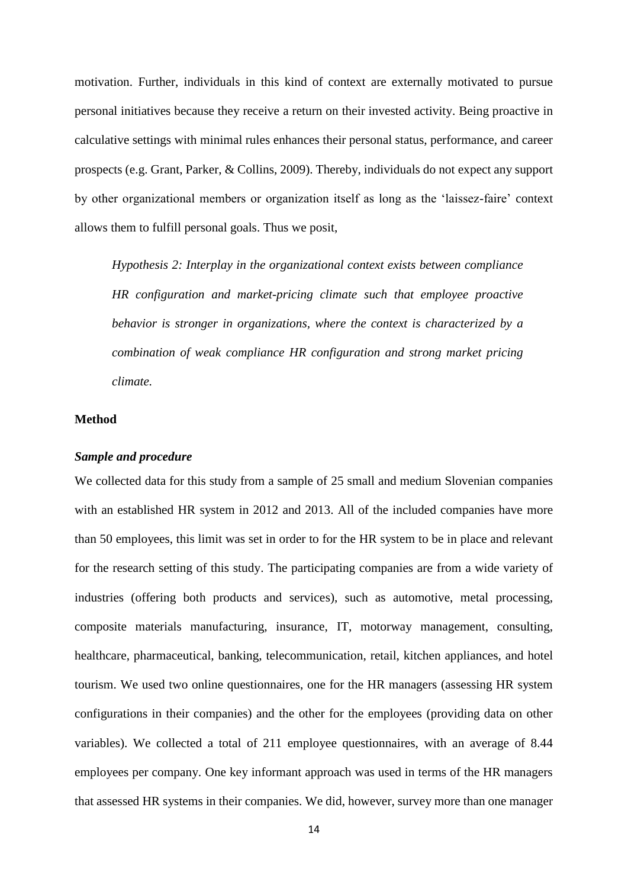motivation. Further, individuals in this kind of context are externally motivated to pursue personal initiatives because they receive a return on their invested activity. Being proactive in calculative settings with minimal rules enhances their personal status, performance, and career prospects [\(e.g. Grant, Parker, & Collins, 2009\)](#page-28-7). Thereby, individuals do not expect any support by other organizational members or organization itself as long as the 'laissez-faire' context allows them to fulfill personal goals. Thus we posit,

*Hypothesis 2: Interplay in the organizational context exists between compliance HR configuration and market-pricing climate such that employee proactive behavior is stronger in organizations, where the context is characterized by a combination of weak compliance HR configuration and strong market pricing climate.* 

#### **Method**

#### *Sample and procedure*

We collected data for this study from a sample of 25 small and medium Slovenian companies with an established HR system in 2012 and 2013. All of the included companies have more than 50 employees, this limit was set in order to for the HR system to be in place and relevant for the research setting of this study. The participating companies are from a wide variety of industries (offering both products and services), such as automotive, metal processing, composite materials manufacturing, insurance, IT, motorway management, consulting, healthcare, pharmaceutical, banking, telecommunication, retail, kitchen appliances, and hotel tourism. We used two online questionnaires, one for the HR managers (assessing HR system configurations in their companies) and the other for the employees (providing data on other variables). We collected a total of 211 employee questionnaires, with an average of 8.44 employees per company. One key informant approach was used in terms of the HR managers that assessed HR systems in their companies. We did, however, survey more than one manager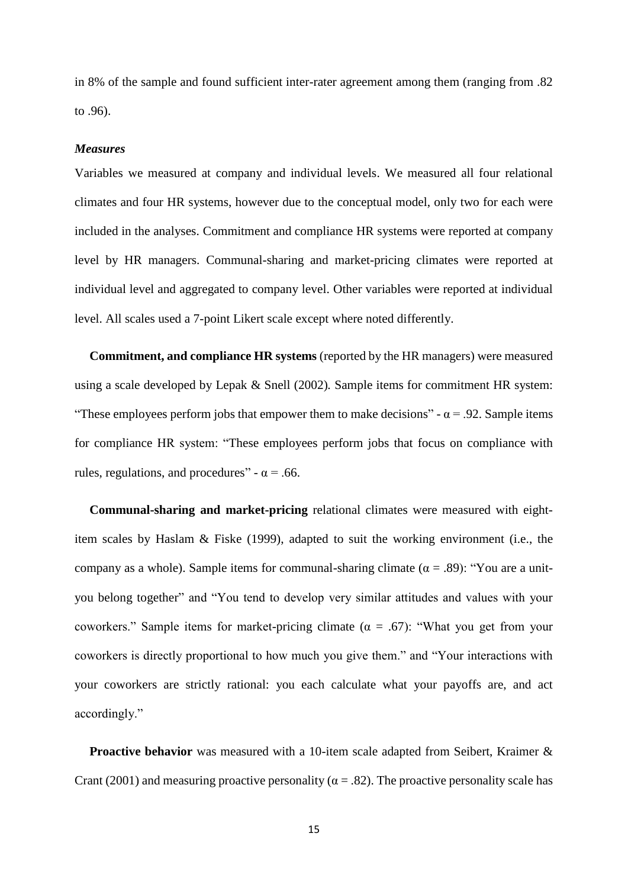in 8% of the sample and found sufficient inter-rater agreement among them (ranging from .82 to .96).

#### *Measures*

Variables we measured at company and individual levels. We measured all four relational climates and four HR systems, however due to the conceptual model, only two for each were included in the analyses. Commitment and compliance HR systems were reported at company level by HR managers. Communal-sharing and market-pricing climates were reported at individual level and aggregated to company level. Other variables were reported at individual level. All scales used a 7-point Likert scale except where noted differently.

**Commitment, and compliance HR systems** (reported by the HR managers) were measured using a scale developed by Lepak & Snell [\(2002\)](#page-29-4)*.* Sample items for commitment HR system: "These employees perform jobs that empower them to make decisions" -  $\alpha$  = .92. Sample items for compliance HR system: "These employees perform jobs that focus on compliance with rules, regulations, and procedures" -  $\alpha$  = .66.

**Communal-sharing and market-pricing** relational climates were measured with eightitem scales by Haslam & Fiske [\(1999\)](#page-28-8), adapted to suit the working environment (i.e., the company as a whole). Sample items for communal-sharing climate ( $\alpha = .89$ ): "You are a unityou belong together" and "You tend to develop very similar attitudes and values with your coworkers." Sample items for market-pricing climate ( $\alpha = .67$ ): "What you get from your coworkers is directly proportional to how much you give them." and "Your interactions with your coworkers are strictly rational: you each calculate what your payoffs are, and act accordingly."

**Proactive behavior** was measured with a 10-item scale adapted from Seibert, Kraimer & Crant [\(2001\)](#page-31-1) and measuring proactive personality ( $\alpha = .82$ ). The proactive personality scale has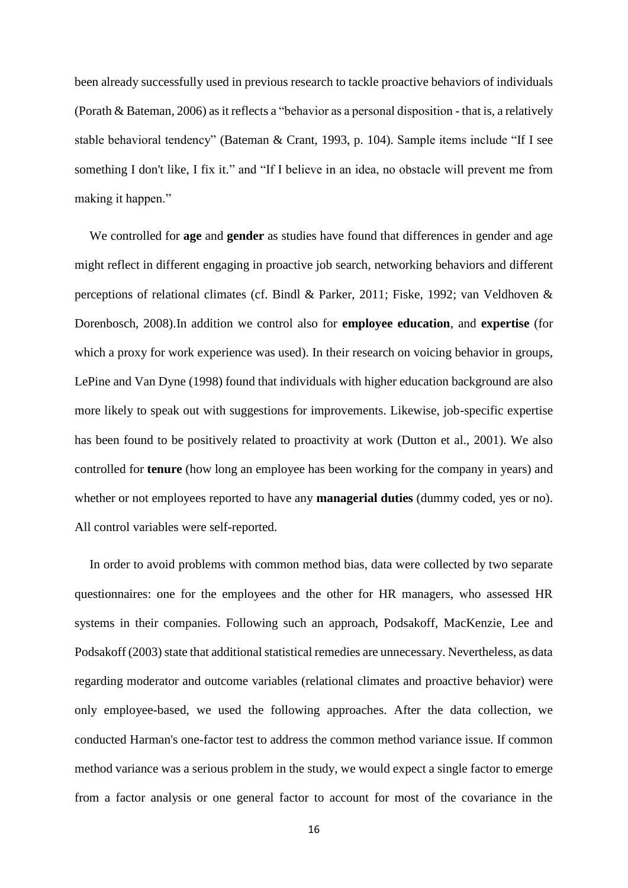been already successfully used in previous research to tackle proactive behaviors of individuals [\(Porath & Bateman, 2006\)](#page-30-9) as it reflects a "behavior as a personal disposition - that is, a relatively stable behavioral tendency" [\(Bateman & Crant, 1993, p. 104\)](#page-26-1). Sample items include "If I see something I don't like, I fix it." and "If I believe in an idea, no obstacle will prevent me from making it happen."

We controlled for **age** and **gender** as studies have found that differences in gender and age might reflect in different engaging in proactive job search, networking behaviors and different perceptions of relational climates (cf. [Bindl & Parker, 2011;](#page-26-4) [Fiske, 1992;](#page-27-3) [van Veldhoven &](#page-31-5)  [Dorenbosch, 2008\)](#page-31-5).In addition we control also for **employee education**, and **expertise** (for which a proxy for work experience was used). In their research on voicing behavior in groups, LePine and Van Dyne [\(1998\)](#page-29-8) found that individuals with higher education background are also more likely to speak out with suggestions for improvements. Likewise, job-specific expertise has been found to be positively related to proactivity at work [\(Dutton et al., 2001\)](#page-27-5). We also controlled for **tenure** (how long an employee has been working for the company in years) and whether or not employees reported to have any **managerial duties** (dummy coded, yes or no). All control variables were self-reported.

In order to avoid problems with common method bias, data were collected by two separate questionnaires: one for the employees and the other for HR managers, who assessed HR systems in their companies. Following such an approach, Podsakoff, MacKenzie, Lee and Podsakoff [\(2003\)](#page-30-10) state that additional statistical remedies are unnecessary. Nevertheless, as data regarding moderator and outcome variables (relational climates and proactive behavior) were only employee-based, we used the following approaches. After the data collection, we conducted Harman's one-factor test to address the common method variance issue. If common method variance was a serious problem in the study, we would expect a single factor to emerge from a factor analysis or one general factor to account for most of the covariance in the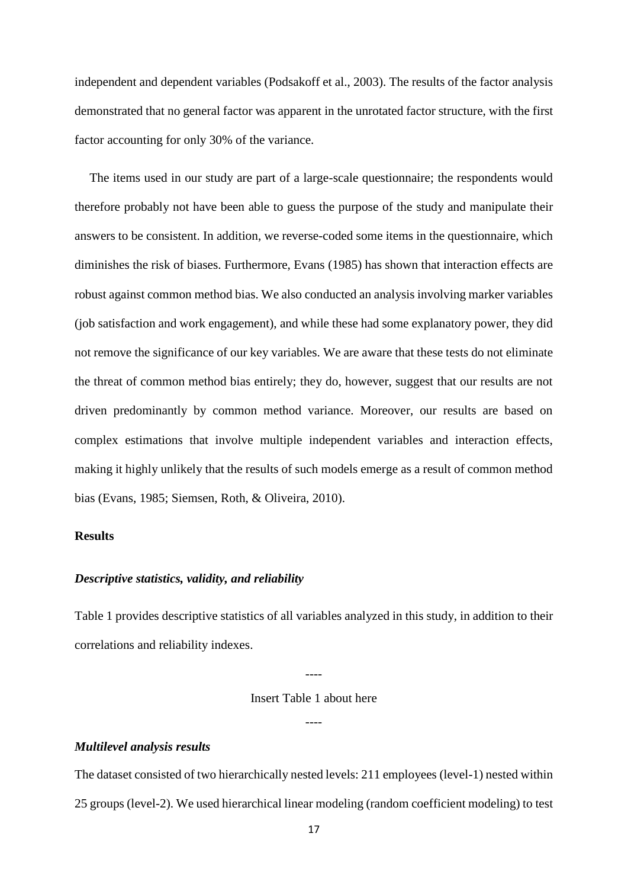independent and dependent variables [\(Podsakoff et al., 2003\)](#page-30-10). The results of the factor analysis demonstrated that no general factor was apparent in the unrotated factor structure, with the first factor accounting for only 30% of the variance.

The items used in our study are part of a large-scale questionnaire; the respondents would therefore probably not have been able to guess the purpose of the study and manipulate their answers to be consistent. In addition, we reverse-coded some items in the questionnaire, which diminishes the risk of biases. Furthermore, Evans [\(1985\)](#page-27-11) has shown that interaction effects are robust against common method bias. We also conducted an analysis involving marker variables (job satisfaction and work engagement), and while these had some explanatory power, they did not remove the significance of our key variables. We are aware that these tests do not eliminate the threat of common method bias entirely; they do, however, suggest that our results are not driven predominantly by common method variance. Moreover, our results are based on complex estimations that involve multiple independent variables and interaction effects, making it highly unlikely that the results of such models emerge as a result of common method bias [\(Evans, 1985;](#page-27-11) [Siemsen, Roth, & Oliveira, 2010\)](#page-31-7).

#### **Results**

#### *Descriptive statistics, validity, and reliability*

Table 1 provides descriptive statistics of all variables analyzed in this study, in addition to their correlations and reliability indexes.

#### Insert Table 1 about here

----

----

#### *Multilevel analysis results*

The dataset consisted of two hierarchically nested levels: 211 employees (level-1) nested within 25 groups (level-2). We used hierarchical linear modeling (random coefficient modeling) to test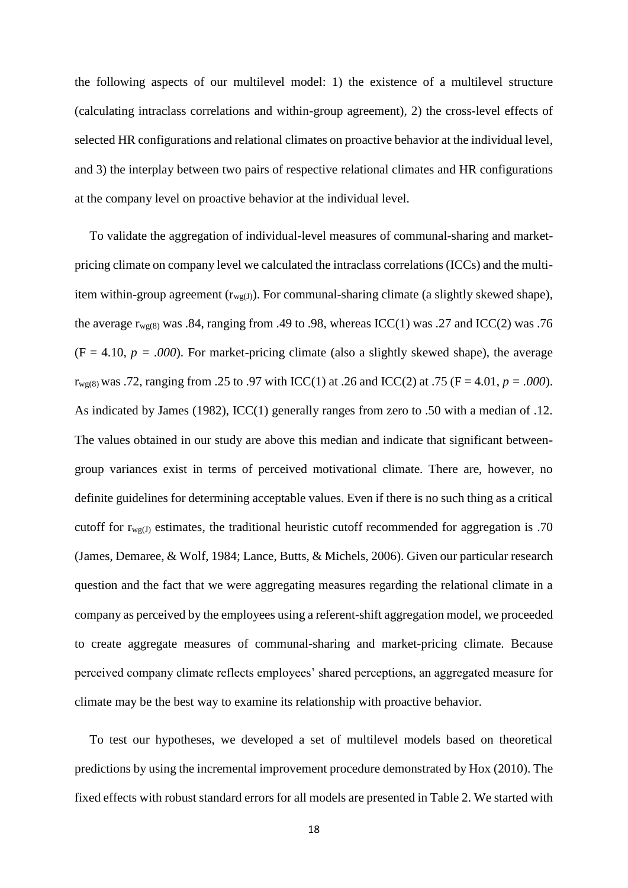the following aspects of our multilevel model: 1) the existence of a multilevel structure (calculating intraclass correlations and within-group agreement), 2) the cross-level effects of selected HR configurations and relational climates on proactive behavior at the individual level, and 3) the interplay between two pairs of respective relational climates and HR configurations at the company level on proactive behavior at the individual level.

To validate the aggregation of individual-level measures of communal-sharing and marketpricing climate on company level we calculated the intraclass correlations (ICCs) and the multiitem within-group agreement  $(r_{wg(I)})$ . For communal-sharing climate (a slightly skewed shape), the average  $r_{wg(8)}$  was .84, ranging from .49 to .98, whereas ICC(1) was .27 and ICC(2) was .76  $(F = 4.10, p = .000)$ . For market-pricing climate (also a slightly skewed shape), the average  $r_{wg(8)}$  was .72, ranging from .25 to .97 with ICC(1) at .26 and ICC(2) at .75 (F = 4.01, *p* = .000). As indicated by James [\(1982\)](#page-28-9), ICC(1) generally ranges from zero to .50 with a median of .12. The values obtained in our study are above this median and indicate that significant betweengroup variances exist in terms of perceived motivational climate. There are, however, no definite guidelines for determining acceptable values. Even if there is no such thing as a critical cutoff for  $r_{wg(J)}$  estimates, the traditional heuristic cutoff recommended for aggregation is .70 [\(James, Demaree, & Wolf, 1984;](#page-28-10) [Lance, Butts, & Michels, 2006\)](#page-29-9). Given our particular research question and the fact that we were aggregating measures regarding the relational climate in a company as perceived by the employees using a referent-shift aggregation model, we proceeded to create aggregate measures of communal-sharing and market-pricing climate. Because perceived company climate reflects employees' shared perceptions, an aggregated measure for climate may be the best way to examine its relationship with proactive behavior.

To test our hypotheses, we developed a set of multilevel models based on theoretical predictions by using the incremental improvement procedure demonstrated by Hox [\(2010\)](#page-28-11). The fixed effects with robust standard errors for all models are presented in Table 2. We started with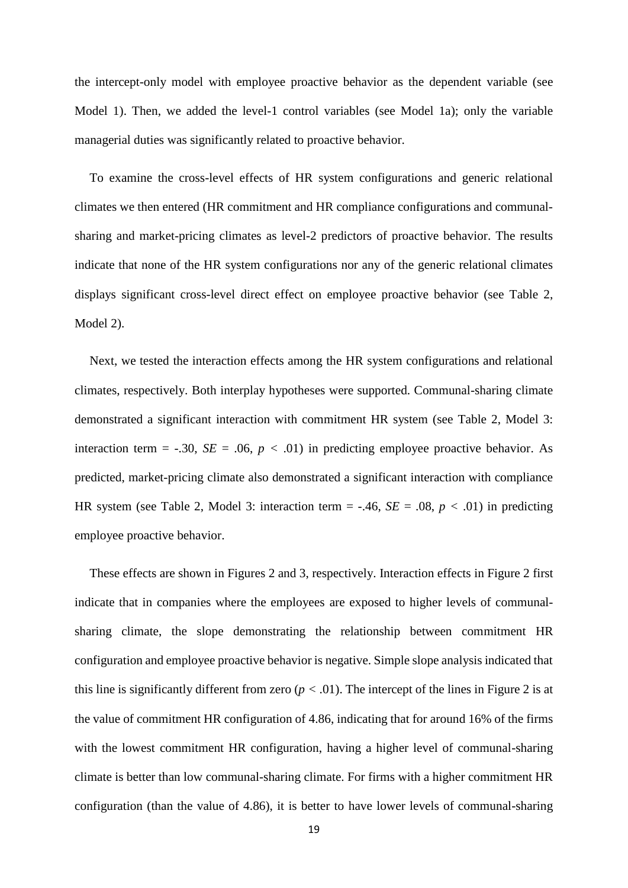the intercept-only model with employee proactive behavior as the dependent variable (see Model 1). Then, we added the level-1 control variables (see Model 1a); only the variable managerial duties was significantly related to proactive behavior.

To examine the cross-level effects of HR system configurations and generic relational climates we then entered (HR commitment and HR compliance configurations and communalsharing and market-pricing climates as level-2 predictors of proactive behavior. The results indicate that none of the HR system configurations nor any of the generic relational climates displays significant cross-level direct effect on employee proactive behavior (see Table 2, Model 2).

Next, we tested the interaction effects among the HR system configurations and relational climates, respectively. Both interplay hypotheses were supported. Communal-sharing climate demonstrated a significant interaction with commitment HR system (see Table 2, Model 3: interaction term = -.30,  $SE = .06$ ,  $p < .01$ ) in predicting employee proactive behavior. As predicted, market-pricing climate also demonstrated a significant interaction with compliance HR system (see Table 2, Model 3: interaction term = -.46,  $SE = .08$ ,  $p < .01$ ) in predicting employee proactive behavior.

These effects are shown in Figures 2 and 3, respectively. Interaction effects in Figure 2 first indicate that in companies where the employees are exposed to higher levels of communalsharing climate, the slope demonstrating the relationship between commitment HR configuration and employee proactive behavior is negative. Simple slope analysis indicated that this line is significantly different from zero  $(p < .01)$ . The intercept of the lines in Figure 2 is at the value of commitment HR configuration of 4.86, indicating that for around 16% of the firms with the lowest commitment HR configuration, having a higher level of communal-sharing climate is better than low communal-sharing climate. For firms with a higher commitment HR configuration (than the value of 4.86), it is better to have lower levels of communal-sharing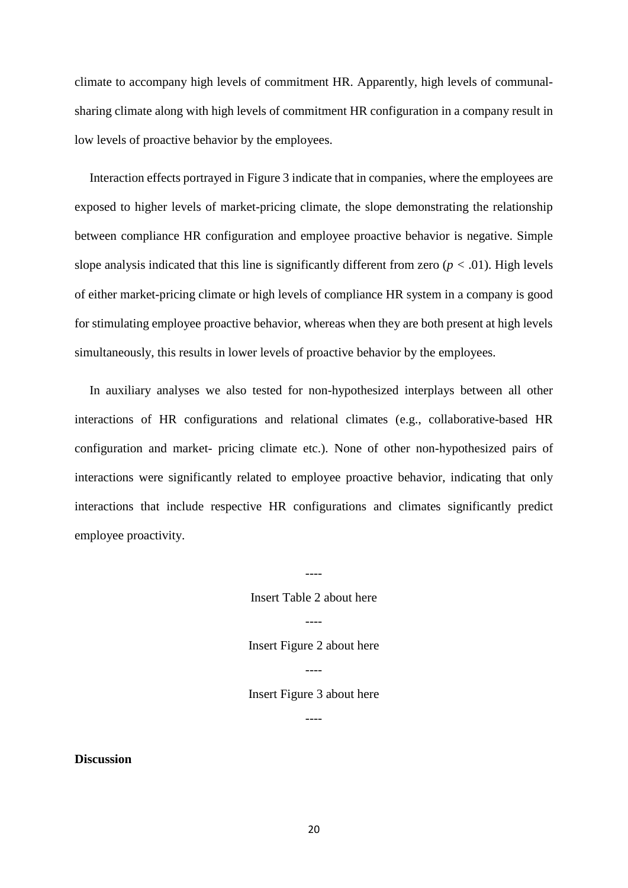climate to accompany high levels of commitment HR. Apparently, high levels of communalsharing climate along with high levels of commitment HR configuration in a company result in low levels of proactive behavior by the employees.

Interaction effects portrayed in Figure 3 indicate that in companies, where the employees are exposed to higher levels of market-pricing climate, the slope demonstrating the relationship between compliance HR configuration and employee proactive behavior is negative. Simple slope analysis indicated that this line is significantly different from zero  $(p < .01)$ . High levels of either market-pricing climate or high levels of compliance HR system in a company is good for stimulating employee proactive behavior, whereas when they are both present at high levels simultaneously, this results in lower levels of proactive behavior by the employees.

In auxiliary analyses we also tested for non-hypothesized interplays between all other interactions of HR configurations and relational climates (e.g., collaborative-based HR configuration and market- pricing climate etc.). None of other non-hypothesized pairs of interactions were significantly related to employee proactive behavior, indicating that only interactions that include respective HR configurations and climates significantly predict employee proactivity.

Insert Table 2 about here

----

Insert Figure 2 about here

----

----

Insert Figure 3 about here

----

**Discussion**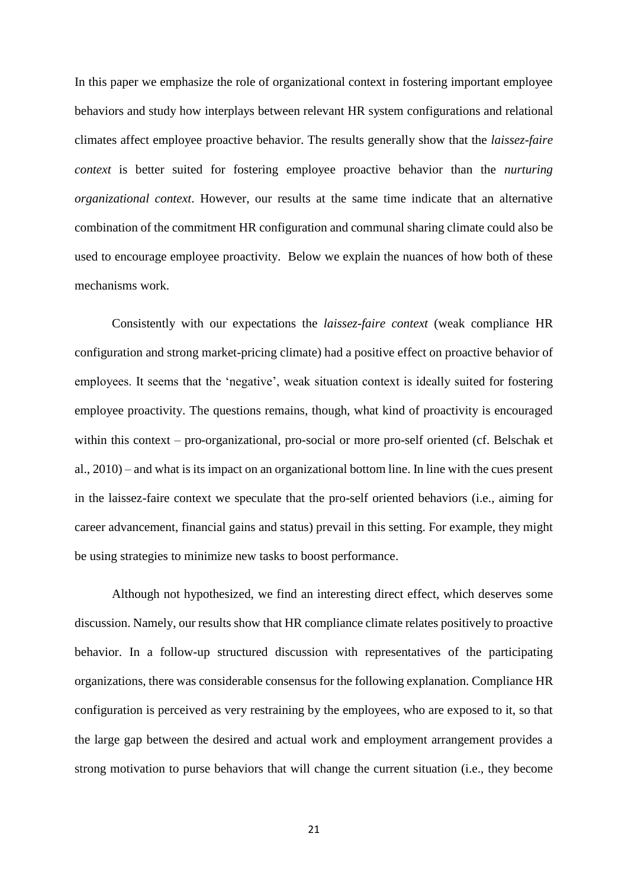In this paper we emphasize the role of organizational context in fostering important employee behaviors and study how interplays between relevant HR system configurations and relational climates affect employee proactive behavior. The results generally show that the *laissez-faire context* is better suited for fostering employee proactive behavior than the *nurturing organizational context*. However, our results at the same time indicate that an alternative combination of the commitment HR configuration and communal sharing climate could also be used to encourage employee proactivity. Below we explain the nuances of how both of these mechanisms work.

Consistently with our expectations the *laissez-faire context* (weak compliance HR configuration and strong market-pricing climate) had a positive effect on proactive behavior of employees. It seems that the 'negative', weak situation context is ideally suited for fostering employee proactivity. The questions remains, though, what kind of proactivity is encouraged within this context – pro-organizational, pro-social or more pro-self oriented [\(cf. Belschak et](#page-26-5)  [al., 2010\)](#page-26-5) – and what is its impact on an organizational bottom line. In line with the cues present in the laissez-faire context we speculate that the pro-self oriented behaviors (i.e., aiming for career advancement, financial gains and status) prevail in this setting. For example, they might be using strategies to minimize new tasks to boost performance.

Although not hypothesized, we find an interesting direct effect, which deserves some discussion. Namely, our results show that HR compliance climate relates positively to proactive behavior. In a follow-up structured discussion with representatives of the participating organizations, there was considerable consensus for the following explanation. Compliance HR configuration is perceived as very restraining by the employees, who are exposed to it, so that the large gap between the desired and actual work and employment arrangement provides a strong motivation to purse behaviors that will change the current situation (i.e., they become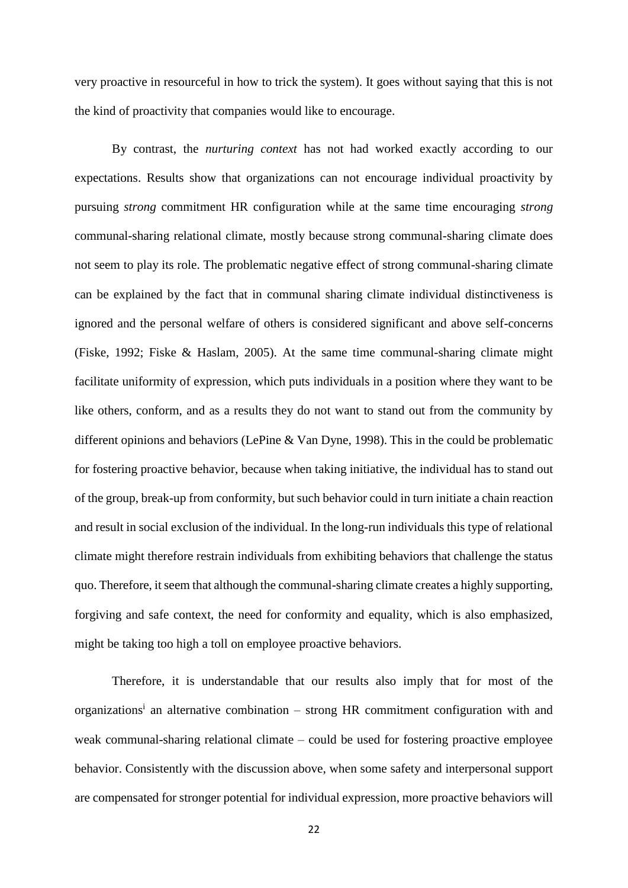very proactive in resourceful in how to trick the system). It goes without saying that this is not the kind of proactivity that companies would like to encourage.

By contrast, the *nurturing context* has not had worked exactly according to our expectations. Results show that organizations can not encourage individual proactivity by pursuing *strong* commitment HR configuration while at the same time encouraging *strong* communal-sharing relational climate, mostly because strong communal-sharing climate does not seem to play its role. The problematic negative effect of strong communal-sharing climate can be explained by the fact that in communal sharing climate individual distinctiveness is ignored and the personal welfare of others is considered significant and above self-concerns [\(Fiske, 1992;](#page-27-3) [Fiske & Haslam, 2005\)](#page-27-8). At the same time communal-sharing climate might facilitate uniformity of expression, which puts individuals in a position where they want to be like others, conform, and as a results they do not want to stand out from the community by different opinions and behaviors [\(LePine & Van Dyne, 1998\)](#page-29-8). This in the could be problematic for fostering proactive behavior, because when taking initiative, the individual has to stand out of the group, break-up from conformity, but such behavior could in turn initiate a chain reaction and result in social exclusion of the individual. In the long-run individuals this type of relational climate might therefore restrain individuals from exhibiting behaviors that challenge the status quo. Therefore, it seem that although the communal-sharing climate creates a highly supporting, forgiving and safe context, the need for conformity and equality, which is also emphasized, might be taking too high a toll on employee proactive behaviors.

Therefore, it is understandable that our results also imply that for most of the organizations<sup>i</sup> an alternative combination – strong HR commitment configuration with and weak communal-sharing relational climate – could be used for fostering proactive employee behavior. Consistently with the discussion above, when some safety and interpersonal support are compensated for stronger potential for individual expression, more proactive behaviors will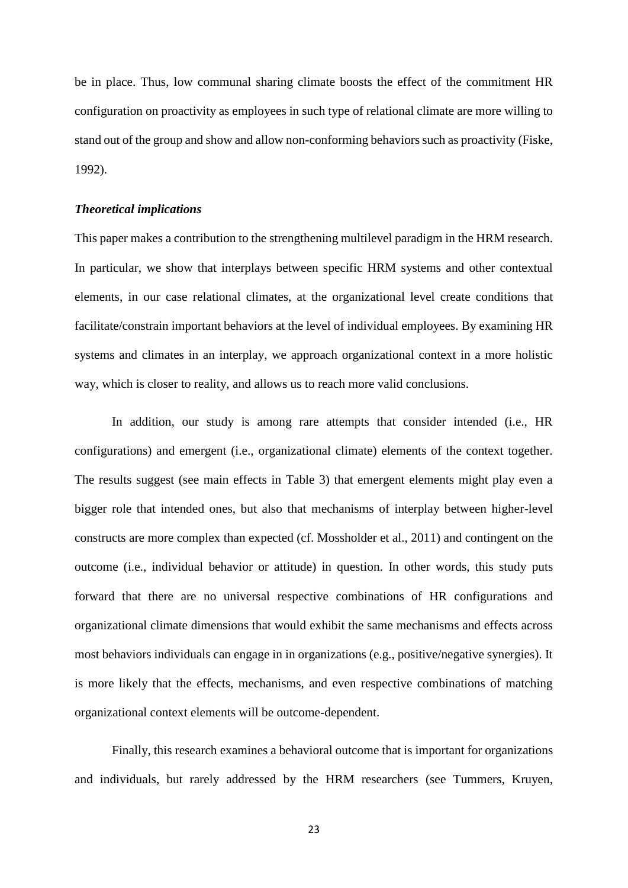be in place. Thus, low communal sharing climate boosts the effect of the commitment HR configuration on proactivity as employees in such type of relational climate are more willing to stand out of the group and show and allow non-conforming behaviors such as proactivity [\(Fiske,](#page-27-3)  [1992\)](#page-27-3).

#### *Theoretical implications*

This paper makes a contribution to the strengthening multilevel paradigm in the HRM research. In particular, we show that interplays between specific HRM systems and other contextual elements, in our case relational climates, at the organizational level create conditions that facilitate/constrain important behaviors at the level of individual employees. By examining HR systems and climates in an interplay, we approach organizational context in a more holistic way, which is closer to reality, and allows us to reach more valid conclusions.

In addition, our study is among rare attempts that consider intended (i.e., HR configurations) and emergent (i.e., organizational climate) elements of the context together. The results suggest (see main effects in Table 3) that emergent elements might play even a bigger role that intended ones, but also that mechanisms of interplay between higher-level constructs are more complex than expected [\(cf. Mossholder et al., 2011\)](#page-30-2) and contingent on the outcome (i.e., individual behavior or attitude) in question. In other words, this study puts forward that there are no universal respective combinations of HR configurations and organizational climate dimensions that would exhibit the same mechanisms and effects across most behaviors individuals can engage in in organizations (e.g., positive/negative synergies). It is more likely that the effects, mechanisms, and even respective combinations of matching organizational context elements will be outcome-dependent.

Finally, this research examines a behavioral outcome that is important for organizations and individuals, but rarely addressed by the HRM researchers [\(see Tummers, Kruyen,](#page-31-8)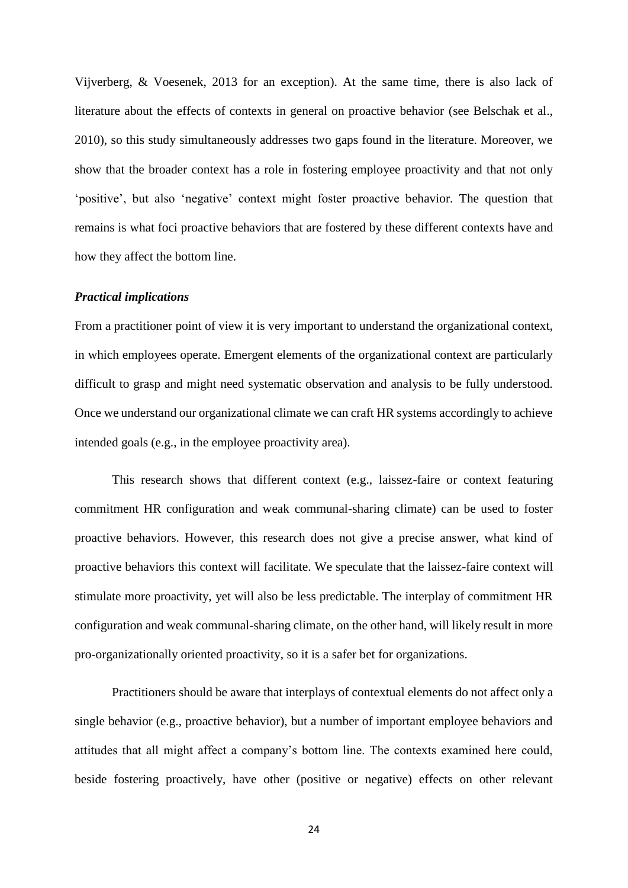[Vijverberg, & Voesenek, 2013 for an exception\)](#page-31-8). At the same time, there is also lack of literature about the effects of contexts in general on proactive behavior [\(see Belschak et al.,](#page-26-5)  [2010\)](#page-26-5), so this study simultaneously addresses two gaps found in the literature. Moreover, we show that the broader context has a role in fostering employee proactivity and that not only 'positive', but also 'negative' context might foster proactive behavior. The question that remains is what foci proactive behaviors that are fostered by these different contexts have and how they affect the bottom line.

#### *Practical implications*

From a practitioner point of view it is very important to understand the organizational context, in which employees operate. Emergent elements of the organizational context are particularly difficult to grasp and might need systematic observation and analysis to be fully understood. Once we understand our organizational climate we can craft HR systems accordingly to achieve intended goals (e.g., in the employee proactivity area).

This research shows that different context (e.g., laissez-faire or context featuring commitment HR configuration and weak communal-sharing climate) can be used to foster proactive behaviors. However, this research does not give a precise answer, what kind of proactive behaviors this context will facilitate. We speculate that the laissez-faire context will stimulate more proactivity, yet will also be less predictable. The interplay of commitment HR configuration and weak communal-sharing climate, on the other hand, will likely result in more pro-organizationally oriented proactivity, so it is a safer bet for organizations.

Practitioners should be aware that interplays of contextual elements do not affect only a single behavior (e.g., proactive behavior), but a number of important employee behaviors and attitudes that all might affect a company's bottom line. The contexts examined here could, beside fostering proactively, have other (positive or negative) effects on other relevant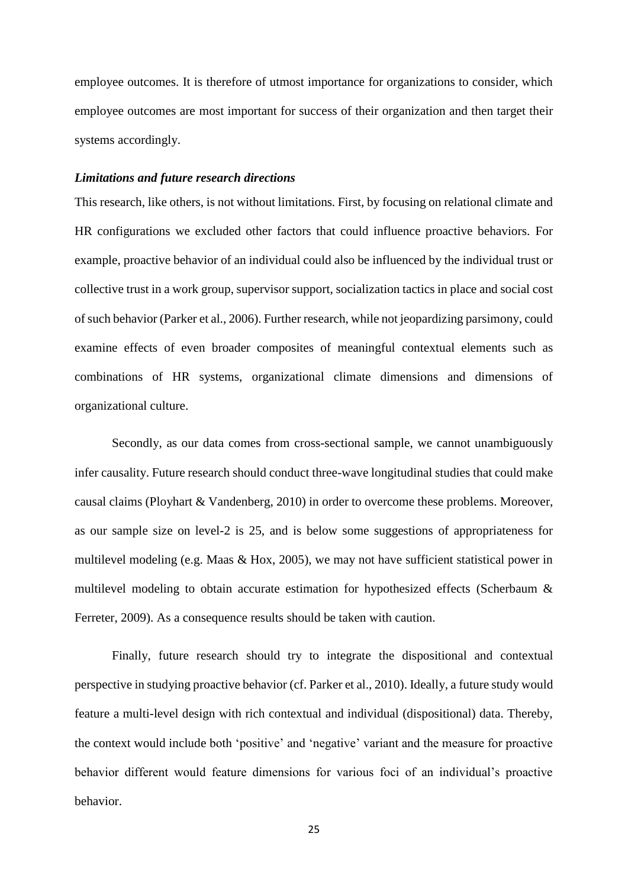employee outcomes. It is therefore of utmost importance for organizations to consider, which employee outcomes are most important for success of their organization and then target their systems accordingly.

#### *Limitations and future research directions*

This research, like others, is not without limitations. First, by focusing on relational climate and HR configurations we excluded other factors that could influence proactive behaviors. For example, proactive behavior of an individual could also be influenced by the individual trust or collective trust in a work group, supervisor support, socialization tactics in place and social cost of such behavior [\(Parker et al., 2006\)](#page-30-0). Further research, while not jeopardizing parsimony, could examine effects of even broader composites of meaningful contextual elements such as combinations of HR systems, organizational climate dimensions and dimensions of organizational culture.

Secondly, as our data comes from cross-sectional sample, we cannot unambiguously infer causality. Future research should conduct three-wave longitudinal studies that could make causal claims [\(Ployhart & Vandenberg, 2010\)](#page-30-11) in order to overcome these problems. Moreover, as our sample size on level-2 is 25, and is below some suggestions of appropriateness for multilevel modeling [\(e.g. Maas & Hox, 2005\)](#page-29-10), we may not have sufficient statistical power in multilevel modeling to obtain accurate estimation for hypothesized effects [\(Scherbaum &](#page-31-9)  [Ferreter, 2009\)](#page-31-9). As a consequence results should be taken with caution.

Finally, future research should try to integrate the dispositional and contextual perspective in studying proactive behavior [\(cf. Parker et al., 2010\)](#page-30-3). Ideally, a future study would feature a multi-level design with rich contextual and individual (dispositional) data. Thereby, the context would include both 'positive' and 'negative' variant and the measure for proactive behavior different would feature dimensions for various foci of an individual's proactive behavior.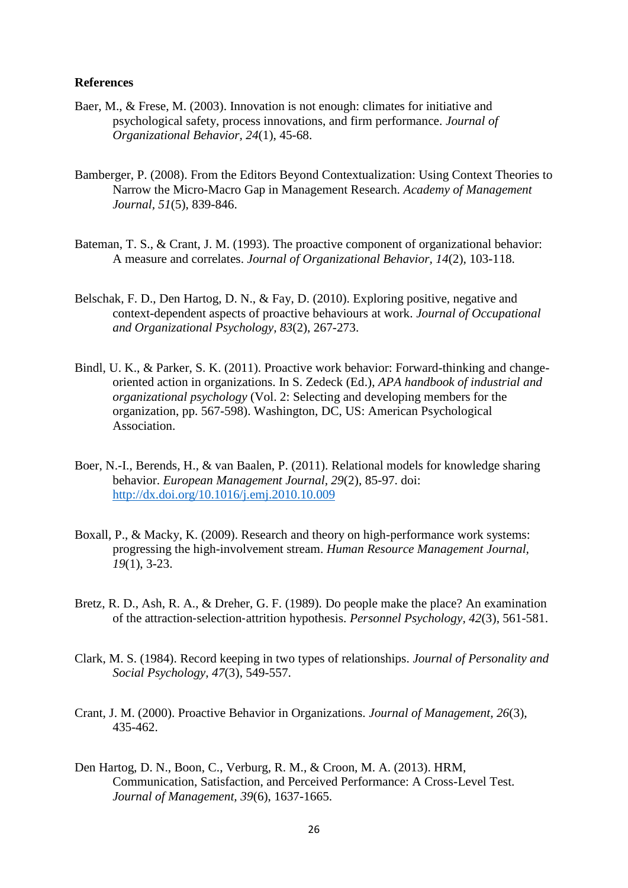#### **References**

- <span id="page-26-6"></span>Baer, M., & Frese, M. (2003). Innovation is not enough: climates for initiative and psychological safety, process innovations, and firm performance. *Journal of Organizational Behavior, 24*(1), 45-68.
- <span id="page-26-2"></span>Bamberger, P. (2008). From the Editors Beyond Contextualization: Using Context Theories to Narrow the Micro-Macro Gap in Management Research. *Academy of Management Journal, 51*(5), 839-846.
- <span id="page-26-1"></span>Bateman, T. S., & Crant, J. M. (1993). The proactive component of organizational behavior: A measure and correlates. *Journal of Organizational Behavior, 14*(2), 103-118.
- <span id="page-26-5"></span>Belschak, F. D., Den Hartog, D. N., & Fay, D. (2010). Exploring positive, negative and context-dependent aspects of proactive behaviours at work. *Journal of Occupational and Organizational Psychology, 83*(2), 267-273.
- <span id="page-26-4"></span>Bindl, U. K., & Parker, S. K. (2011). Proactive work behavior: Forward-thinking and changeoriented action in organizations. In S. Zedeck (Ed.), *APA handbook of industrial and organizational psychology* (Vol. 2: Selecting and developing members for the organization, pp. 567-598). Washington, DC, US: American Psychological Association.
- <span id="page-26-7"></span>Boer, N.-I., Berends, H., & van Baalen, P. (2011). Relational models for knowledge sharing behavior. *European Management Journal, 29*(2), 85-97. doi: <http://dx.doi.org/10.1016/j.emj.2010.10.009>
- <span id="page-26-8"></span>Boxall, P., & Macky, K. (2009). Research and theory on high-performance work systems: progressing the high-involvement stream. *Human Resource Management Journal, 19*(1), 3-23.
- <span id="page-26-10"></span>Bretz, R. D., Ash, R. A., & Dreher, G. F. (1989). Do people make the place? An examination of the attraction‐selection‐attrition hypothesis. *Personnel Psychology, 42*(3), 561-581.
- <span id="page-26-9"></span>Clark, M. S. (1984). Record keeping in two types of relationships. *Journal of Personality and Social Psychology, 47*(3), 549-557.
- <span id="page-26-0"></span>Crant, J. M. (2000). Proactive Behavior in Organizations. *Journal of Management, 26*(3), 435-462.
- <span id="page-26-3"></span>Den Hartog, D. N., Boon, C., Verburg, R. M., & Croon, M. A. (2013). HRM, Communication, Satisfaction, and Perceived Performance: A Cross-Level Test. *Journal of Management, 39*(6), 1637-1665.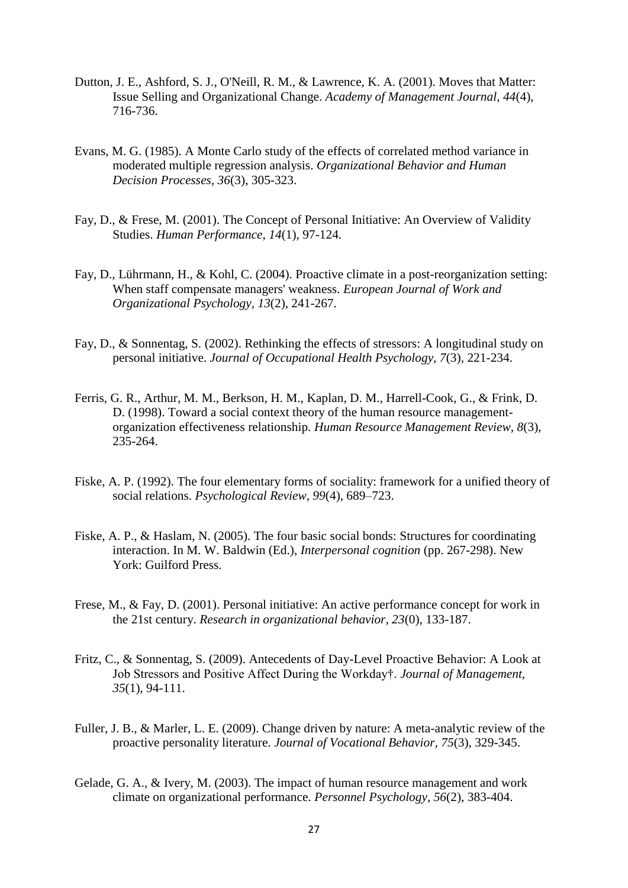- <span id="page-27-5"></span>Dutton, J. E., Ashford, S. J., O'Neill, R. M., & Lawrence, K. A. (2001). Moves that Matter: Issue Selling and Organizational Change. *Academy of Management Journal, 44*(4), 716-736.
- <span id="page-27-11"></span>Evans, M. G. (1985). A Monte Carlo study of the effects of correlated method variance in moderated multiple regression analysis. *Organizational Behavior and Human Decision Processes, 36*(3), 305-323.
- <span id="page-27-0"></span>Fay, D., & Frese, M. (2001). The Concept of Personal Initiative: An Overview of Validity Studies. *Human Performance, 14*(1), 97-124.
- <span id="page-27-6"></span>Fay, D., Lührmann, H., & Kohl, C. (2004). Proactive climate in a post-reorganization setting: When staff compensate managers' weakness. *European Journal of Work and Organizational Psychology, 13*(2), 241-267.
- <span id="page-27-9"></span>Fay, D., & Sonnentag, S. (2002). Rethinking the effects of stressors: A longitudinal study on personal initiative. *Journal of Occupational Health Psychology, 7*(3), 221-234.
- <span id="page-27-4"></span>Ferris, G. R., Arthur, M. M., Berkson, H. M., Kaplan, D. M., Harrell-Cook, G., & Frink, D. D. (1998). Toward a social context theory of the human resource managementorganization effectiveness relationship. *Human Resource Management Review, 8*(3), 235-264.
- <span id="page-27-3"></span>Fiske, A. P. (1992). The four elementary forms of sociality: framework for a unified theory of social relations. *Psychological Review, 99*(4), 689–723.
- <span id="page-27-8"></span>Fiske, A. P., & Haslam, N. (2005). The four basic social bonds: Structures for coordinating interaction. In M. W. Baldwin (Ed.), *Interpersonal cognition* (pp. 267-298). New York: Guilford Press.
- <span id="page-27-10"></span>Frese, M., & Fay, D. (2001). Personal initiative: An active performance concept for work in the 21st century. *Research in organizational behavior, 23*(0), 133-187.
- <span id="page-27-2"></span>Fritz, C., & Sonnentag, S. (2009). Antecedents of Day-Level Proactive Behavior: A Look at Job Stressors and Positive Affect During the Workday†. *Journal of Management, 35*(1), 94-111.
- <span id="page-27-1"></span>Fuller, J. B., & Marler, L. E. (2009). Change driven by nature: A meta-analytic review of the proactive personality literature. *Journal of Vocational Behavior, 75*(3), 329-345.
- <span id="page-27-7"></span>Gelade, G. A., & Ivery, M. (2003). The impact of human resource management and work climate on organizational performance. *Personnel Psychology, 56*(2), 383-404.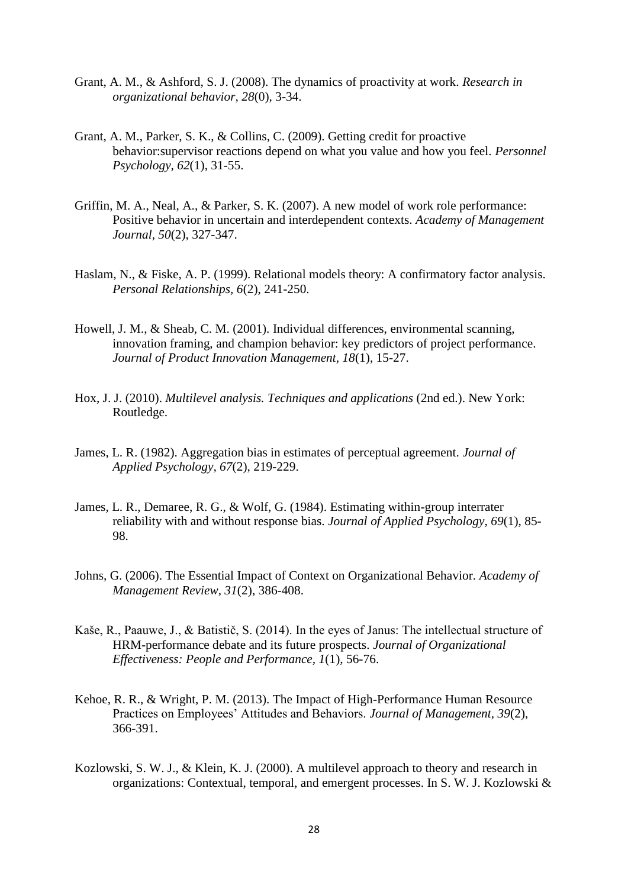- <span id="page-28-6"></span>Grant, A. M., & Ashford, S. J. (2008). The dynamics of proactivity at work. *Research in organizational behavior, 28*(0), 3-34.
- <span id="page-28-7"></span>Grant, A. M., Parker, S. K., & Collins, C. (2009). Getting credit for proactive behavior:supervisor reactions depend on what you value and how you feel. *Personnel Psychology, 62*(1), 31-55.
- <span id="page-28-0"></span>Griffin, M. A., Neal, A., & Parker, S. K. (2007). A new model of work role performance: Positive behavior in uncertain and interdependent contexts. *Academy of Management Journal, 50*(2), 327-347.
- <span id="page-28-8"></span>Haslam, N., & Fiske, A. P. (1999). Relational models theory: A confirmatory factor analysis. *Personal Relationships, 6*(2), 241-250.
- <span id="page-28-4"></span>Howell, J. M., & Sheab, C. M. (2001). Individual differences, environmental scanning, innovation framing, and champion behavior: key predictors of project performance. *Journal of Product Innovation Management, 18*(1), 15-27.
- <span id="page-28-11"></span>Hox, J. J. (2010). *Multilevel analysis. Techniques and applications* (2nd ed.). New York: Routledge.
- <span id="page-28-9"></span>James, L. R. (1982). Aggregation bias in estimates of perceptual agreement. *Journal of Applied Psychology, 67*(2), 219-229.
- <span id="page-28-10"></span>James, L. R., Demaree, R. G., & Wolf, G. (1984). Estimating within-group interrater reliability with and without response bias. *Journal of Applied Psychology, 69*(1), 85- 98.
- <span id="page-28-1"></span>Johns, G. (2006). The Essential Impact of Context on Organizational Behavior. *Academy of Management Review, 31*(2), 386-408.
- <span id="page-28-3"></span>Kaše, R., Paauwe, J., & Batistič, S. (2014). In the eyes of Janus: The intellectual structure of HRM-performance debate and its future prospects. *Journal of Organizational Effectiveness: People and Performance, 1*(1), 56-76.
- <span id="page-28-2"></span>Kehoe, R. R., & Wright, P. M. (2013). The Impact of High-Performance Human Resource Practices on Employees' Attitudes and Behaviors. *Journal of Management, 39*(2), 366-391.
- <span id="page-28-5"></span>Kozlowski, S. W. J., & Klein, K. J. (2000). A multilevel approach to theory and research in organizations: Contextual, temporal, and emergent processes. In S. W. J. Kozlowski &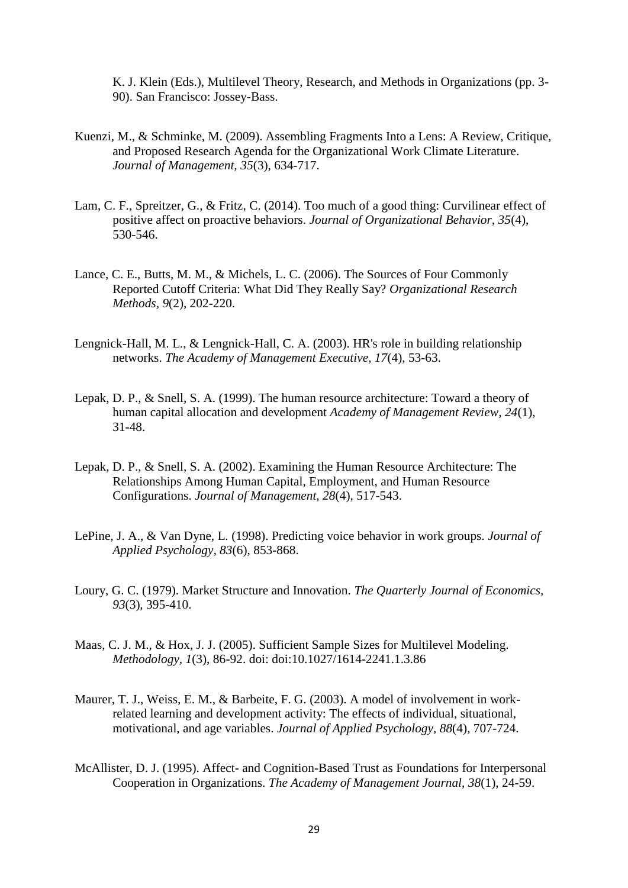K. J. Klein (Eds.), Multilevel Theory, Research, and Methods in Organizations (pp. 3- 90). San Francisco: Jossey-Bass.

- <span id="page-29-2"></span>Kuenzi, M., & Schminke, M. (2009). Assembling Fragments Into a Lens: A Review, Critique, and Proposed Research Agenda for the Organizational Work Climate Literature. *Journal of Management, 35*(3), 634-717.
- <span id="page-29-0"></span>Lam, C. F., Spreitzer, G., & Fritz, C. (2014). Too much of a good thing: Curvilinear effect of positive affect on proactive behaviors. *Journal of Organizational Behavior, 35*(4), 530-546.
- <span id="page-29-9"></span>Lance, C. E., Butts, M. M., & Michels, L. C. (2006). The Sources of Four Commonly Reported Cutoff Criteria: What Did They Really Say? *Organizational Research Methods, 9*(2), 202-220.
- <span id="page-29-6"></span>Lengnick-Hall, M. L., & Lengnick-Hall, C. A. (2003). HR's role in building relationship networks. *The Academy of Management Executive, 17*(4), 53-63.
- <span id="page-29-1"></span>Lepak, D. P., & Snell, S. A. (1999). The human resource architecture: Toward a theory of human capital allocation and development *Academy of Management Review, 24*(1), 31-48.
- <span id="page-29-4"></span>Lepak, D. P., & Snell, S. A. (2002). Examining the Human Resource Architecture: The Relationships Among Human Capital, Employment, and Human Resource Configurations. *Journal of Management, 28*(4), 517-543.
- <span id="page-29-8"></span>LePine, J. A., & Van Dyne, L. (1998). Predicting voice behavior in work groups. *Journal of Applied Psychology, 83*(6), 853-868.
- <span id="page-29-7"></span>Loury, G. C. (1979). Market Structure and Innovation. *The Quarterly Journal of Economics, 93*(3), 395-410.
- <span id="page-29-10"></span>Maas, C. J. M., & Hox, J. J. (2005). Sufficient Sample Sizes for Multilevel Modeling. *Methodology, 1*(3), 86-92. doi: doi:10.1027/1614-2241.1.3.86
- <span id="page-29-3"></span>Maurer, T. J., Weiss, E. M., & Barbeite, F. G. (2003). A model of involvement in workrelated learning and development activity: The effects of individual, situational, motivational, and age variables. *Journal of Applied Psychology, 88*(4), 707-724.
- <span id="page-29-5"></span>McAllister, D. J. (1995). Affect- and Cognition-Based Trust as Foundations for Interpersonal Cooperation in Organizations. *The Academy of Management Journal, 38*(1), 24-59.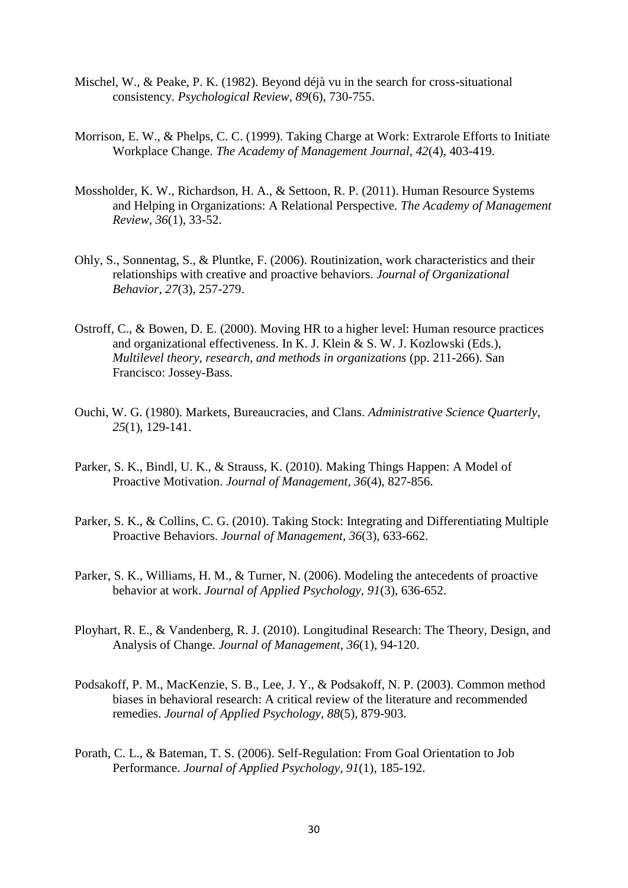- <span id="page-30-8"></span>Mischel, W., & Peake, P. K. (1982). Beyond déjà vu in the search for cross-situational consistency. *Psychological Review, 89*(6), 730-755.
- <span id="page-30-4"></span>Morrison, E. W., & Phelps, C. C. (1999). Taking Charge at Work: Extrarole Efforts to Initiate Workplace Change. *The Academy of Management Journal, 42*(4), 403-419.
- <span id="page-30-2"></span>Mossholder, K. W., Richardson, H. A., & Settoon, R. P. (2011). Human Resource Systems and Helping in Organizations: A Relational Perspective. *The Academy of Management Review, 36*(1), 33-52.
- <span id="page-30-5"></span>Ohly, S., Sonnentag, S., & Pluntke, F. (2006). Routinization, work characteristics and their relationships with creative and proactive behaviors. *Journal of Organizational Behavior, 27*(3), 257-279.
- <span id="page-30-6"></span>Ostroff, C., & Bowen, D. E. (2000). Moving HR to a higher level: Human resource practices and organizational effectiveness. In K. J. Klein & S. W. J. Kozlowski (Eds.), *Multilevel theory, research, and methods in organizations* (pp. 211-266). San Francisco: Jossey-Bass.
- <span id="page-30-7"></span>Ouchi, W. G. (1980). Markets, Bureaucracies, and Clans. *Administrative Science Quarterly, 25*(1), 129-141.
- <span id="page-30-3"></span>Parker, S. K., Bindl, U. K., & Strauss, K. (2010). Making Things Happen: A Model of Proactive Motivation. *Journal of Management, 36*(4), 827-856.
- <span id="page-30-1"></span>Parker, S. K., & Collins, C. G. (2010). Taking Stock: Integrating and Differentiating Multiple Proactive Behaviors. *Journal of Management, 36*(3), 633-662.
- <span id="page-30-0"></span>Parker, S. K., Williams, H. M., & Turner, N. (2006). Modeling the antecedents of proactive behavior at work. *Journal of Applied Psychology, 91*(3), 636-652.
- <span id="page-30-11"></span>Ployhart, R. E., & Vandenberg, R. J. (2010). Longitudinal Research: The Theory, Design, and Analysis of Change. *Journal of Management, 36*(1), 94-120.
- <span id="page-30-10"></span>Podsakoff, P. M., MacKenzie, S. B., Lee, J. Y., & Podsakoff, N. P. (2003). Common method biases in behavioral research: A critical review of the literature and recommended remedies. *Journal of Applied Psychology, 88*(5), 879-903.
- <span id="page-30-9"></span>Porath, C. L., & Bateman, T. S. (2006). Self-Regulation: From Goal Orientation to Job Performance. *Journal of Applied Psychology, 91*(1), 185-192.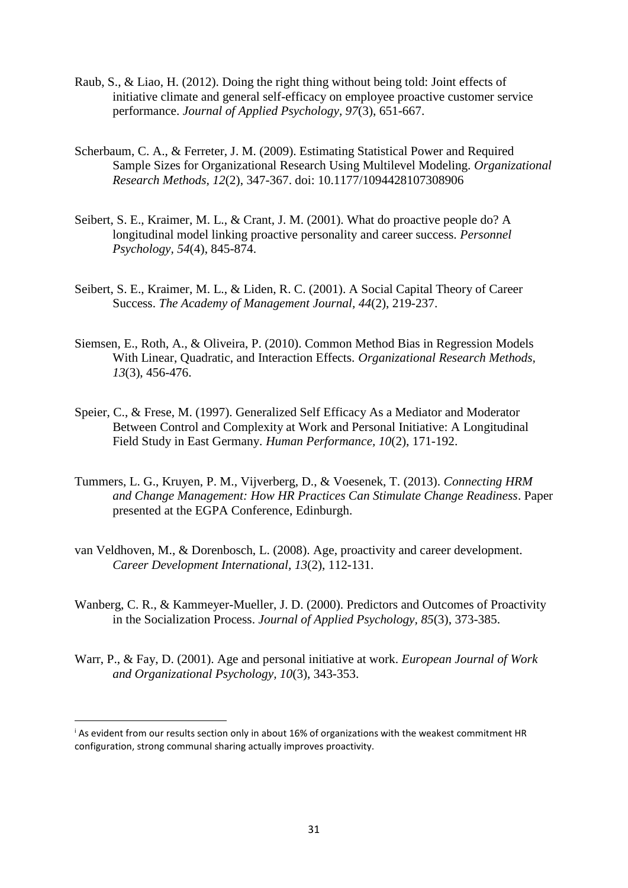- <span id="page-31-6"></span>Raub, S., & Liao, H. (2012). Doing the right thing without being told: Joint effects of initiative climate and general self-efficacy on employee proactive customer service performance. *Journal of Applied Psychology, 97*(3), 651-667.
- <span id="page-31-9"></span>Scherbaum, C. A., & Ferreter, J. M. (2009). Estimating Statistical Power and Required Sample Sizes for Organizational Research Using Multilevel Modeling. *Organizational Research Methods, 12*(2), 347-367. doi: 10.1177/1094428107308906
- <span id="page-31-0"></span>Seibert, S. E., Kraimer, M. L., & Crant, J. M. (2001). What do proactive people do? A longitudinal model linking proactive personality and career success. *Personnel Psychology, 54*(4), 845-874.
- <span id="page-31-1"></span>Seibert, S. E., Kraimer, M. L., & Liden, R. C. (2001). A Social Capital Theory of Career Success. *The Academy of Management Journal, 44*(2), 219-237.
- <span id="page-31-7"></span>Siemsen, E., Roth, A., & Oliveira, P. (2010). Common Method Bias in Regression Models With Linear, Quadratic, and Interaction Effects. *Organizational Research Methods, 13*(3), 456-476.
- <span id="page-31-3"></span>Speier, C., & Frese, M. (1997). Generalized Self Efficacy As a Mediator and Moderator Between Control and Complexity at Work and Personal Initiative: A Longitudinal Field Study in East Germany. *Human Performance, 10*(2), 171-192.
- <span id="page-31-8"></span>Tummers, L. G., Kruyen, P. M., Vijverberg, D., & Voesenek, T. (2013). *Connecting HRM and Change Management: How HR Practices Can Stimulate Change Readiness*. Paper presented at the EGPA Conference, Edinburgh.
- <span id="page-31-5"></span>van Veldhoven, M., & Dorenbosch, L. (2008). Age, proactivity and career development. *Career Development International, 13*(2), 112-131.
- <span id="page-31-2"></span>Wanberg, C. R., & Kammeyer-Mueller, J. D. (2000). Predictors and Outcomes of Proactivity in the Socialization Process. *Journal of Applied Psychology, 85*(3), 373-385.
- <span id="page-31-4"></span>Warr, P., & Fay, D. (2001). Age and personal initiative at work. *European Journal of Work and Organizational Psychology, 10*(3), 343-353.

**.** 

<sup>&</sup>lt;sup>i</sup> As evident from our results section only in about 16% of organizations with the weakest commitment HR configuration, strong communal sharing actually improves proactivity.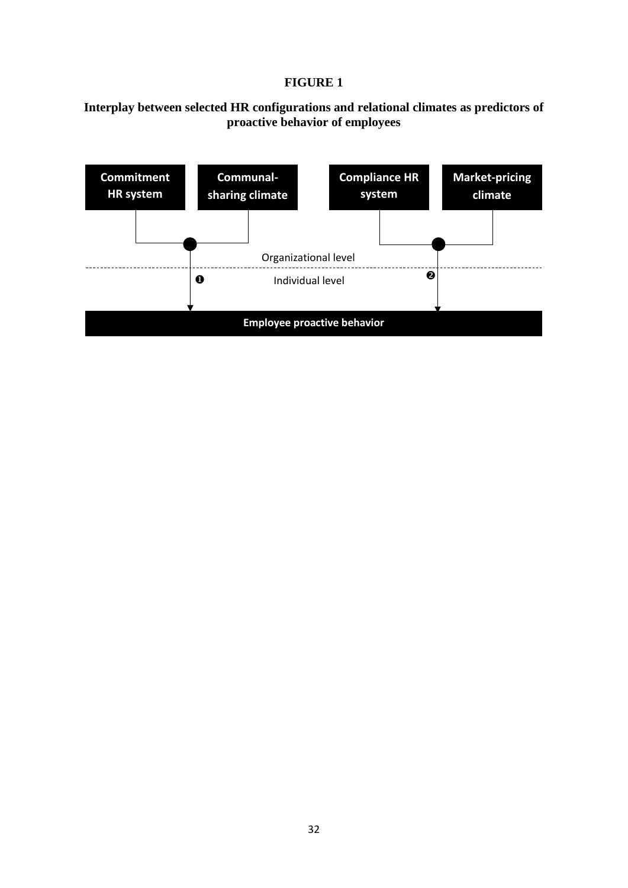# **FIGURE 1**

# **Interplay between selected HR configurations and relational climates as predictors of proactive behavior of employees**

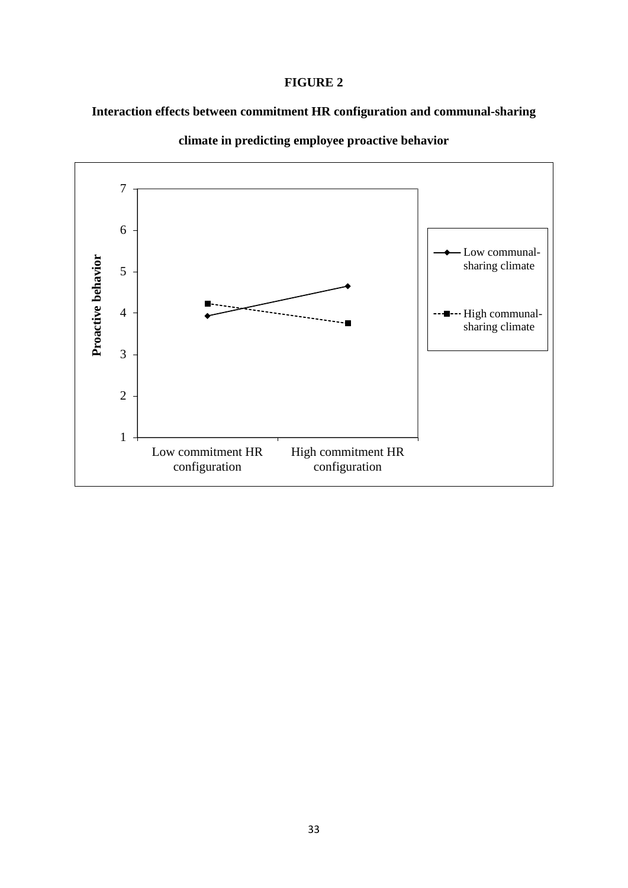# **FIGURE 2**

# **Interaction effects between commitment HR configuration and communal-sharing**



**climate in predicting employee proactive behavior**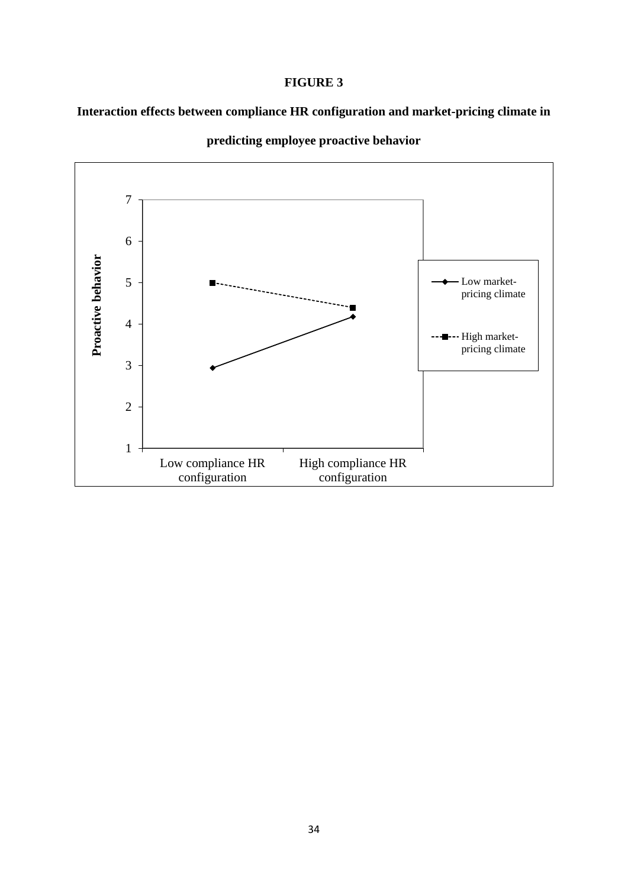# **FIGURE 3**

**Interaction effects between compliance HR configuration and market-pricing climate in** 



**predicting employee proactive behavior**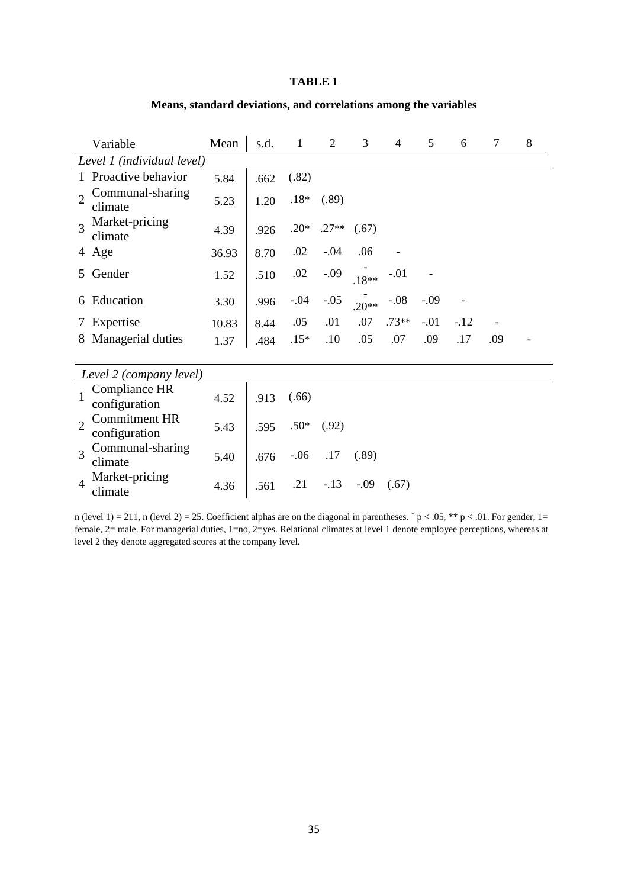#### **TABLE 1**

#### **Means, standard deviations, and correlations among the variables**

| Variable                                                | Mean  | s.d. | 1      | $\overline{2}$ | 3       | 4       | 5      | 6     | 7                        | 8 |
|---------------------------------------------------------|-------|------|--------|----------------|---------|---------|--------|-------|--------------------------|---|
| Level 1 (individual level)                              |       |      |        |                |         |         |        |       |                          |   |
| Proactive behavior<br>$\mathbf{1}$                      | 5.84  | .662 | (.82)  |                |         |         |        |       |                          |   |
| Communal-sharing<br>climate                             | 5.23  | 1.20 | $.18*$ | (.89)          |         |         |        |       |                          |   |
| Market-pricing<br>climate                               | 4.39  | .926 | $.20*$ | $.27**$        | (.67)   |         |        |       |                          |   |
| 4 Age                                                   | 36.93 | 8.70 | .02    | $-.04$         | .06     |         |        |       |                          |   |
| Gender<br>5.                                            | 1.52  | .510 | .02    | $-.09$         | $.18**$ | $-.01$  |        |       |                          |   |
| Education<br>6                                          | 3.30  | .996 | $-.04$ | $-.05$         | $.20**$ | $-.08$  | $-.09$ |       |                          |   |
| Expertise<br>$\frac{1}{2}$                              | 10.83 | 8.44 | .05    | .01            | .07     | $.73**$ | $-.01$ | $-12$ | $\overline{\phantom{a}}$ |   |
| Managerial duties<br>8                                  | 1.37  | .484 | $.15*$ | .10            | .05     | .07     | .09    | .17   | .09                      |   |
|                                                         |       |      |        |                |         |         |        |       |                          |   |
| Level 2 (company level)                                 |       |      |        |                |         |         |        |       |                          |   |
| Compliance HR<br>configuration                          | 4.52  | .913 | (.66)  |                |         |         |        |       |                          |   |
| <b>Commitment HR</b><br>$\overline{2}$<br>configuration | 5.43  | .595 | $.50*$ | (.92)          |         |         |        |       |                          |   |
| Communal-sharing<br>$\overline{\mathcal{X}}$<br>climate | 5.40  | .676 | $-.06$ | .17            | (.89)   |         |        |       |                          |   |
| Market-pricing<br>$\overline{4}$<br>climate             | 4.36  | .561 | .21    | $-.13$         | $-.09$  | (.67)   |        |       |                          |   |

n (level 1) = 211, n (level 2) = 25. Coefficient alphas are on the diagonal in parentheses.  $p < .05$ , \*\*  $p < .01$ . For gender, 1= female, 2= male. For managerial duties, 1=no, 2=yes. Relational climates at level 1 denote employee perceptions, whereas at level 2 they denote aggregated scores at the company level.